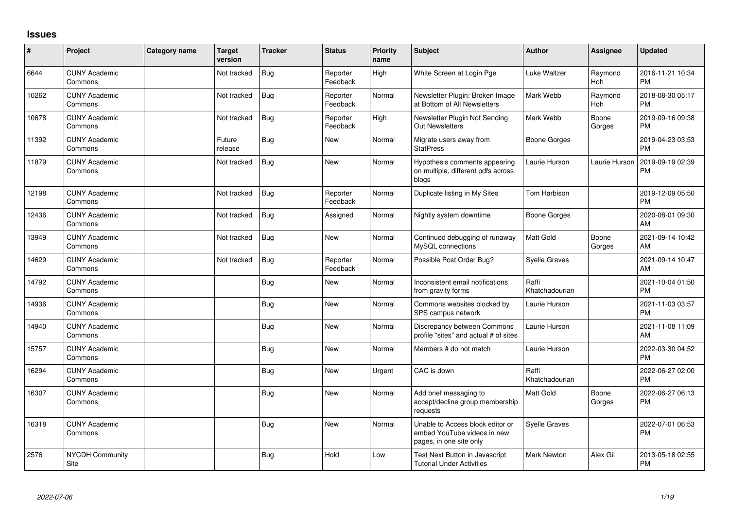## **Issues**

| $\sharp$ | Project                         | Category name | <b>Target</b><br>version | <b>Tracker</b> | <b>Status</b>        | Priority<br>name | Subject                                                                                    | <b>Author</b>           | <b>Assignee</b> | <b>Updated</b>                |
|----------|---------------------------------|---------------|--------------------------|----------------|----------------------|------------------|--------------------------------------------------------------------------------------------|-------------------------|-----------------|-------------------------------|
| 6644     | <b>CUNY Academic</b><br>Commons |               | Not tracked              | <b>Bug</b>     | Reporter<br>Feedback | High             | White Screen at Login Pge                                                                  | Luke Waltzer            | Raymond<br>Hoh  | 2016-11-21 10:34<br><b>PM</b> |
| 10262    | <b>CUNY Academic</b><br>Commons |               | Not tracked              | <b>Bug</b>     | Reporter<br>Feedback | Normal           | Newsletter Plugin: Broken Image<br>at Bottom of All Newsletters                            | Mark Webb               | Raymond<br>Hoh  | 2018-08-30 05:17<br><b>PM</b> |
| 10678    | <b>CUNY Academic</b><br>Commons |               | Not tracked              | <b>Bug</b>     | Reporter<br>Feedback | Hiah             | Newsletter Plugin Not Sending<br><b>Out Newsletters</b>                                    | Mark Webb               | Boone<br>Gorges | 2019-09-16 09:38<br><b>PM</b> |
| 11392    | <b>CUNY Academic</b><br>Commons |               | Future<br>release        | <b>Bug</b>     | New                  | Normal           | Migrate users away from<br><b>StatPress</b>                                                | <b>Boone Gorges</b>     |                 | 2019-04-23 03:53<br><b>PM</b> |
| 11879    | <b>CUNY Academic</b><br>Commons |               | Not tracked              | <b>Bug</b>     | New                  | Normal           | Hypothesis comments appearing<br>on multiple, different pdfs across<br>blogs               | Laurie Hurson           | Laurie Hurson   | 2019-09-19 02:39<br><b>PM</b> |
| 12198    | <b>CUNY Academic</b><br>Commons |               | Not tracked              | <b>Bug</b>     | Reporter<br>Feedback | Normal           | Duplicate listing in My Sites                                                              | <b>Tom Harbison</b>     |                 | 2019-12-09 05:50<br><b>PM</b> |
| 12436    | <b>CUNY Academic</b><br>Commons |               | Not tracked              | <b>Bug</b>     | Assigned             | Normal           | Nightly system downtime                                                                    | <b>Boone Gorges</b>     |                 | 2020-08-01 09:30<br>AM        |
| 13949    | <b>CUNY Academic</b><br>Commons |               | Not tracked              | <b>Bug</b>     | <b>New</b>           | Normal           | Continued debugging of runaway<br>MySQL connections                                        | <b>Matt Gold</b>        | Boone<br>Gorges | 2021-09-14 10:42<br>AM        |
| 14629    | <b>CUNY Academic</b><br>Commons |               | Not tracked              | Bug            | Reporter<br>Feedback | Normal           | Possible Post Order Bug?                                                                   | Syelle Graves           |                 | 2021-09-14 10:47<br>AM        |
| 14792    | <b>CUNY Academic</b><br>Commons |               |                          | Bug            | New                  | Normal           | Inconsistent email notifications<br>from gravity forms                                     | Raffi<br>Khatchadourian |                 | 2021-10-04 01:50<br><b>PM</b> |
| 14936    | <b>CUNY Academic</b><br>Commons |               |                          | Bug            | <b>New</b>           | Normal           | Commons websites blocked by<br>SPS campus network                                          | Laurie Hurson           |                 | 2021-11-03 03:57<br><b>PM</b> |
| 14940    | <b>CUNY Academic</b><br>Commons |               |                          | Bug            | <b>New</b>           | Normal           | Discrepancy between Commons<br>profile "sites" and actual # of sites                       | Laurie Hurson           |                 | 2021-11-08 11:09<br>AM        |
| 15757    | <b>CUNY Academic</b><br>Commons |               |                          | <b>Bug</b>     | <b>New</b>           | Normal           | Members # do not match                                                                     | Laurie Hurson           |                 | 2022-03-30 04:52<br><b>PM</b> |
| 16294    | <b>CUNY Academic</b><br>Commons |               |                          | <b>Bug</b>     | <b>New</b>           | Urgent           | CAC is down                                                                                | Raffi<br>Khatchadourian |                 | 2022-06-27 02:00<br><b>PM</b> |
| 16307    | <b>CUNY Academic</b><br>Commons |               |                          | <b>Bug</b>     | New                  | Normal           | Add brief messaging to<br>accept/decline group membership<br>requests                      | Matt Gold               | Boone<br>Gorges | 2022-06-27 06:13<br>PM        |
| 16318    | <b>CUNY Academic</b><br>Commons |               |                          | Bug            | New                  | Normal           | Unable to Access block editor or<br>embed YouTube videos in new<br>pages, in one site only | Syelle Graves           |                 | 2022-07-01 06:53<br><b>PM</b> |
| 2576     | <b>NYCDH Community</b><br>Site  |               |                          | Bug            | Hold                 | Low              | Test Next Button in Javascript<br><b>Tutorial Under Activities</b>                         | <b>Mark Newton</b>      | Alex Gil        | 2013-05-18 02:55<br>PM        |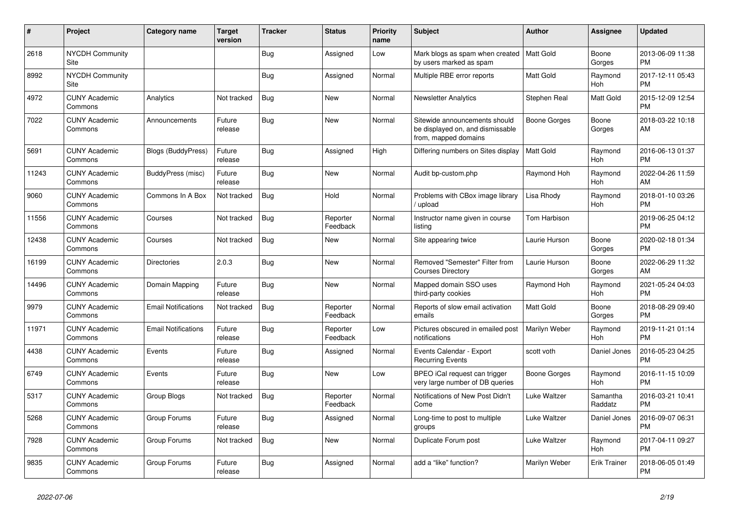| #     | Project                         | <b>Category name</b>       | <b>Target</b><br>version | <b>Tracker</b> | <b>Status</b>        | <b>Priority</b><br>name | <b>Subject</b>                                                                            | <b>Author</b>       | <b>Assignee</b>       | <b>Updated</b>                |
|-------|---------------------------------|----------------------------|--------------------------|----------------|----------------------|-------------------------|-------------------------------------------------------------------------------------------|---------------------|-----------------------|-------------------------------|
| 2618  | <b>NYCDH Community</b><br>Site  |                            |                          | Bug            | Assigned             | Low                     | Mark blogs as spam when created<br>by users marked as spam                                | Matt Gold           | Boone<br>Gorges       | 2013-06-09 11:38<br><b>PM</b> |
| 8992  | <b>NYCDH Community</b><br>Site  |                            |                          | Bug            | Assigned             | Normal                  | Multiple RBE error reports                                                                | <b>Matt Gold</b>    | Raymond<br>Hoh        | 2017-12-11 05:43<br><b>PM</b> |
| 4972  | <b>CUNY Academic</b><br>Commons | Analytics                  | Not tracked              | Bug            | <b>New</b>           | Normal                  | <b>Newsletter Analytics</b>                                                               | Stephen Real        | <b>Matt Gold</b>      | 2015-12-09 12:54<br><b>PM</b> |
| 7022  | <b>CUNY Academic</b><br>Commons | Announcements              | Future<br>release        | Bug            | <b>New</b>           | Normal                  | Sitewide announcements should<br>be displayed on, and dismissable<br>from, mapped domains | <b>Boone Gorges</b> | Boone<br>Gorges       | 2018-03-22 10:18<br>AM        |
| 5691  | <b>CUNY Academic</b><br>Commons | Blogs (BuddyPress)         | Future<br>release        | <b>Bug</b>     | Assigned             | High                    | Differing numbers on Sites display                                                        | Matt Gold           | Raymond<br><b>Hoh</b> | 2016-06-13 01:37<br><b>PM</b> |
| 11243 | <b>CUNY Academic</b><br>Commons | BuddyPress (misc)          | Future<br>release        | Bug            | <b>New</b>           | Normal                  | Audit bp-custom.php                                                                       | Raymond Hoh         | Raymond<br>Hoh        | 2022-04-26 11:59<br>AM        |
| 9060  | <b>CUNY Academic</b><br>Commons | Commons In A Box           | Not tracked              | Bug            | Hold                 | Normal                  | Problems with CBox image library<br>/ upload                                              | Lisa Rhody          | Raymond<br>Hoh        | 2018-01-10 03:26<br><b>PM</b> |
| 11556 | <b>CUNY Academic</b><br>Commons | Courses                    | Not tracked              | Bug            | Reporter<br>Feedback | Normal                  | Instructor name given in course<br>listing                                                | <b>Tom Harbison</b> |                       | 2019-06-25 04:12<br><b>PM</b> |
| 12438 | <b>CUNY Academic</b><br>Commons | Courses                    | Not tracked              | <b>Bug</b>     | <b>New</b>           | Normal                  | Site appearing twice                                                                      | Laurie Hurson       | Boone<br>Gorges       | 2020-02-18 01:34<br><b>PM</b> |
| 16199 | <b>CUNY Academic</b><br>Commons | <b>Directories</b>         | 2.0.3                    | Bug            | <b>New</b>           | Normal                  | Removed "Semester" Filter from<br><b>Courses Directory</b>                                | Laurie Hurson       | Boone<br>Gorges       | 2022-06-29 11:32<br>AM        |
| 14496 | <b>CUNY Academic</b><br>Commons | Domain Mapping             | Future<br>release        | Bug            | <b>New</b>           | Normal                  | Mapped domain SSO uses<br>third-party cookies                                             | Raymond Hoh         | Raymond<br>Hoh        | 2021-05-24 04:03<br><b>PM</b> |
| 9979  | <b>CUNY Academic</b><br>Commons | <b>Email Notifications</b> | Not tracked              | Bug            | Reporter<br>Feedback | Normal                  | Reports of slow email activation<br>emails                                                | <b>Matt Gold</b>    | Boone<br>Gorges       | 2018-08-29 09:40<br><b>PM</b> |
| 11971 | <b>CUNY Academic</b><br>Commons | <b>Email Notifications</b> | Future<br>release        | <b>Bug</b>     | Reporter<br>Feedback | Low                     | Pictures obscured in emailed post<br>notifications                                        | Marilyn Weber       | Raymond<br>Hoh        | 2019-11-21 01:14<br><b>PM</b> |
| 4438  | <b>CUNY Academic</b><br>Commons | Events                     | Future<br>release        | Bug            | Assigned             | Normal                  | Events Calendar - Export<br><b>Recurring Events</b>                                       | scott voth          | Daniel Jones          | 2016-05-23 04:25<br><b>PM</b> |
| 6749  | <b>CUNY Academic</b><br>Commons | Events                     | Future<br>release        | Bug            | New                  | Low                     | BPEO iCal request can trigger<br>very large number of DB queries                          | Boone Gorges        | Raymond<br>Hoh        | 2016-11-15 10:09<br><b>PM</b> |
| 5317  | <b>CUNY Academic</b><br>Commons | Group Blogs                | Not tracked              | <b>Bug</b>     | Reporter<br>Feedback | Normal                  | Notifications of New Post Didn't<br>Come                                                  | Luke Waltzer        | Samantha<br>Raddatz   | 2016-03-21 10:41<br><b>PM</b> |
| 5268  | <b>CUNY Academic</b><br>Commons | Group Forums               | Future<br>release        | Bug            | Assigned             | Normal                  | Long-time to post to multiple<br>groups                                                   | Luke Waltzer        | Daniel Jones          | 2016-09-07 06:31<br><b>PM</b> |
| 7928  | <b>CUNY Academic</b><br>Commons | Group Forums               | Not tracked              | Bug            | <b>New</b>           | Normal                  | Duplicate Forum post                                                                      | Luke Waltzer        | Raymond<br>Hoh        | 2017-04-11 09:27<br><b>PM</b> |
| 9835  | <b>CUNY Academic</b><br>Commons | Group Forums               | Future<br>release        | Bug            | Assigned             | Normal                  | add a "like" function?                                                                    | Marilyn Weber       | <b>Erik Trainer</b>   | 2018-06-05 01:49<br><b>PM</b> |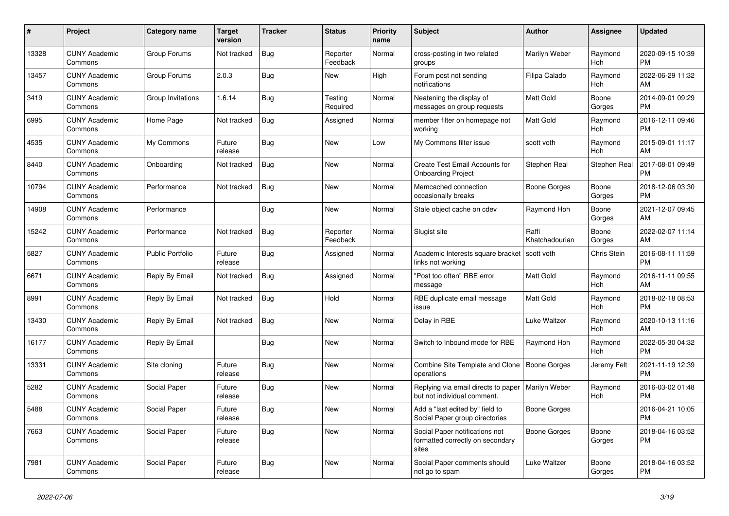| $\#$  | Project                         | <b>Category name</b>    | <b>Target</b><br>version | <b>Tracker</b> | <b>Status</b>        | <b>Priority</b><br>name | <b>Subject</b>                                                              | <b>Author</b>           | <b>Assignee</b> | <b>Updated</b>                |
|-------|---------------------------------|-------------------------|--------------------------|----------------|----------------------|-------------------------|-----------------------------------------------------------------------------|-------------------------|-----------------|-------------------------------|
| 13328 | <b>CUNY Academic</b><br>Commons | Group Forums            | Not tracked              | <b>Bug</b>     | Reporter<br>Feedback | Normal                  | cross-posting in two related<br>groups                                      | Marilyn Weber           | Raymond<br>Hoh  | 2020-09-15 10:39<br><b>PM</b> |
| 13457 | <b>CUNY Academic</b><br>Commons | Group Forums            | 2.0.3                    | Bug            | New                  | High                    | Forum post not sending<br>notifications                                     | Filipa Calado           | Raymond<br>Hoh  | 2022-06-29 11:32<br>AM        |
| 3419  | <b>CUNY Academic</b><br>Commons | Group Invitations       | 1.6.14                   | <b>Bug</b>     | Testing<br>Required  | Normal                  | Neatening the display of<br>messages on group requests                      | Matt Gold               | Boone<br>Gorges | 2014-09-01 09:29<br><b>PM</b> |
| 6995  | <b>CUNY Academic</b><br>Commons | Home Page               | Not tracked              | <b>Bug</b>     | Assigned             | Normal                  | member filter on homepage not<br>working                                    | <b>Matt Gold</b>        | Raymond<br>Hoh  | 2016-12-11 09:46<br><b>PM</b> |
| 4535  | <b>CUNY Academic</b><br>Commons | My Commons              | Future<br>release        | Bug            | New                  | Low                     | My Commons filter issue                                                     | scott voth              | Raymond<br>Hoh  | 2015-09-01 11:17<br>AM        |
| 8440  | <b>CUNY Academic</b><br>Commons | Onboarding              | Not tracked              | <b>Bug</b>     | New                  | Normal                  | <b>Create Test Email Accounts for</b><br><b>Onboarding Project</b>          | Stephen Real            | Stephen Real    | 2017-08-01 09:49<br><b>PM</b> |
| 10794 | <b>CUNY Academic</b><br>Commons | Performance             | Not tracked              | <b>Bug</b>     | <b>New</b>           | Normal                  | Memcached connection<br>occasionally breaks                                 | Boone Gorges            | Boone<br>Gorges | 2018-12-06 03:30<br><b>PM</b> |
| 14908 | <b>CUNY Academic</b><br>Commons | Performance             |                          | <b>Bug</b>     | <b>New</b>           | Normal                  | Stale object cache on cdev                                                  | Raymond Hoh             | Boone<br>Gorges | 2021-12-07 09:45<br>AM        |
| 15242 | <b>CUNY Academic</b><br>Commons | Performance             | Not tracked              | Bug            | Reporter<br>Feedback | Normal                  | Slugist site                                                                | Raffi<br>Khatchadourian | Boone<br>Gorges | 2022-02-07 11:14<br>AM        |
| 5827  | <b>CUNY Academic</b><br>Commons | <b>Public Portfolio</b> | Future<br>release        | <b>Bug</b>     | Assigned             | Normal                  | Academic Interests square bracket<br>links not working                      | scott voth              | Chris Stein     | 2016-08-11 11:59<br><b>PM</b> |
| 6671  | <b>CUNY Academic</b><br>Commons | Reply By Email          | Not tracked              | Bug            | Assigned             | Normal                  | "Post too often" RBE error<br>message                                       | Matt Gold               | Raymond<br>Hoh  | 2016-11-11 09:55<br>AM        |
| 8991  | <b>CUNY Academic</b><br>Commons | Reply By Email          | Not tracked              | Bug            | Hold                 | Normal                  | RBE duplicate email message<br>issue                                        | Matt Gold               | Raymond<br>Hoh  | 2018-02-18 08:53<br><b>PM</b> |
| 13430 | <b>CUNY Academic</b><br>Commons | Reply By Email          | Not tracked              | <b>Bug</b>     | New                  | Normal                  | Delay in RBE                                                                | Luke Waltzer            | Raymond<br>Hoh  | 2020-10-13 11:16<br>AM        |
| 16177 | <b>CUNY Academic</b><br>Commons | Reply By Email          |                          | Bug            | <b>New</b>           | Normal                  | Switch to Inbound mode for RBE                                              | Raymond Hoh             | Raymond<br>Hoh  | 2022-05-30 04:32<br><b>PM</b> |
| 13331 | <b>CUNY Academic</b><br>Commons | Site cloning            | Future<br>release        | <b>Bug</b>     | <b>New</b>           | Normal                  | Combine Site Template and Clone<br>operations                               | <b>Boone Gorges</b>     | Jeremy Felt     | 2021-11-19 12:39<br><b>PM</b> |
| 5282  | <b>CUNY Academic</b><br>Commons | Social Paper            | Future<br>release        | Bug            | New                  | Normal                  | Replying via email directs to paper<br>but not individual comment.          | Marilyn Weber           | Raymond<br>Hoh  | 2016-03-02 01:48<br><b>PM</b> |
| 5488  | <b>CUNY Academic</b><br>Commons | Social Paper            | Future<br>release        | <b>Bug</b>     | New                  | Normal                  | Add a "last edited by" field to<br>Social Paper group directories           | Boone Gorges            |                 | 2016-04-21 10:05<br><b>PM</b> |
| 7663  | <b>CUNY Academic</b><br>Commons | Social Paper            | Future<br>release        | <b>Bug</b>     | <b>New</b>           | Normal                  | Social Paper notifications not<br>formatted correctly on secondary<br>sites | <b>Boone Gorges</b>     | Boone<br>Gorges | 2018-04-16 03:52<br><b>PM</b> |
| 7981  | <b>CUNY Academic</b><br>Commons | Social Paper            | Future<br>release        | <b>Bug</b>     | <b>New</b>           | Normal                  | Social Paper comments should<br>not go to spam                              | <b>Luke Waltzer</b>     | Boone<br>Gorges | 2018-04-16 03:52<br><b>PM</b> |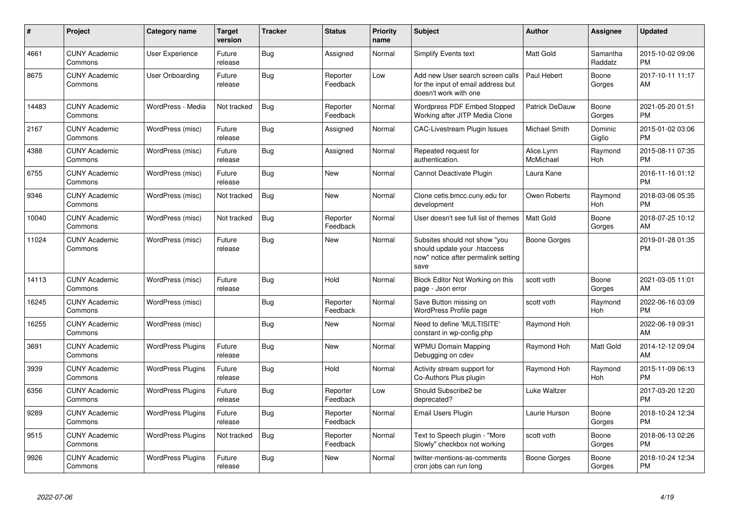| #     | <b>Project</b>                  | Category name            | <b>Target</b><br>version | <b>Tracker</b> | <b>Status</b>        | Priority<br>name | <b>Subject</b>                                                                                               | <b>Author</b>           | Assignee            | <b>Updated</b>                |
|-------|---------------------------------|--------------------------|--------------------------|----------------|----------------------|------------------|--------------------------------------------------------------------------------------------------------------|-------------------------|---------------------|-------------------------------|
| 4661  | <b>CUNY Academic</b><br>Commons | User Experience          | Future<br>release        | Bug            | Assigned             | Normal           | <b>Simplify Events text</b>                                                                                  | Matt Gold               | Samantha<br>Raddatz | 2015-10-02 09:06<br><b>PM</b> |
| 8675  | <b>CUNY Academic</b><br>Commons | User Onboarding          | Future<br>release        | Bug            | Reporter<br>Feedback | Low              | Add new User search screen calls<br>for the input of email address but<br>doesn't work with one              | Paul Hebert             | Boone<br>Gorges     | 2017-10-11 11:17<br>AM        |
| 14483 | <b>CUNY Academic</b><br>Commons | WordPress - Media        | Not tracked              | Bug            | Reporter<br>Feedback | Normal           | Wordpress PDF Embed Stopped<br>Working after JITP Media Clone                                                | Patrick DeDauw          | Boone<br>Gorges     | 2021-05-20 01:51<br><b>PM</b> |
| 2167  | <b>CUNY Academic</b><br>Commons | WordPress (misc)         | Future<br>release        | Bug            | Assigned             | Normal           | <b>CAC-Livestream Plugin Issues</b>                                                                          | Michael Smith           | Dominic<br>Giglio   | 2015-01-02 03:06<br><b>PM</b> |
| 4388  | <b>CUNY Academic</b><br>Commons | WordPress (misc)         | Future<br>release        | Bug            | Assigned             | Normal           | Repeated request for<br>authentication.                                                                      | Alice.Lynn<br>McMichael | Raymond<br>Hoh      | 2015-08-11 07:35<br><b>PM</b> |
| 6755  | <b>CUNY Academic</b><br>Commons | WordPress (misc)         | Future<br>release        | <b>Bug</b>     | <b>New</b>           | Normal           | Cannot Deactivate Plugin                                                                                     | Laura Kane              |                     | 2016-11-16 01:12<br><b>PM</b> |
| 9346  | <b>CUNY Academic</b><br>Commons | WordPress (misc)         | Not tracked              | Bug            | <b>New</b>           | Normal           | Clone cetls.bmcc.cuny.edu for<br>development                                                                 | Owen Roberts            | Raymond<br>Hoh      | 2018-03-06 05:35<br><b>PM</b> |
| 10040 | <b>CUNY Academic</b><br>Commons | WordPress (misc)         | Not tracked              | <b>Bug</b>     | Reporter<br>Feedback | Normal           | User doesn't see full list of themes                                                                         | <b>Matt Gold</b>        | Boone<br>Gorges     | 2018-07-25 10:12<br>AM        |
| 11024 | <b>CUNY Academic</b><br>Commons | WordPress (misc)         | Future<br>release        | Bug            | New                  | Normal           | Subsites should not show "you<br>should update your .htaccess<br>now" notice after permalink setting<br>save | Boone Gorges            |                     | 2019-01-28 01:35<br><b>PM</b> |
| 14113 | <b>CUNY Academic</b><br>Commons | WordPress (misc)         | Future<br>release        | <b>Bug</b>     | Hold                 | Normal           | Block Editor Not Working on this<br>page - Json error                                                        | scott voth              | Boone<br>Gorges     | 2021-03-05 11:01<br>AM        |
| 16245 | <b>CUNY Academic</b><br>Commons | WordPress (misc)         |                          | Bug            | Reporter<br>Feedback | Normal           | Save Button missing on<br>WordPress Profile page                                                             | scott voth              | Raymond<br>Hoh      | 2022-06-16 03:09<br><b>PM</b> |
| 16255 | <b>CUNY Academic</b><br>Commons | WordPress (misc)         |                          | <b>Bug</b>     | <b>New</b>           | Normal           | Need to define 'MULTISITE'<br>constant in wp-config.php                                                      | Raymond Hoh             |                     | 2022-06-19 09:31<br>AM        |
| 3691  | <b>CUNY Academic</b><br>Commons | <b>WordPress Plugins</b> | Future<br>release        | <b>Bug</b>     | <b>New</b>           | Normal           | <b>WPMU Domain Mapping</b><br>Debugging on cdev                                                              | Raymond Hoh             | Matt Gold           | 2014-12-12 09:04<br>AM        |
| 3939  | <b>CUNY Academic</b><br>Commons | <b>WordPress Plugins</b> | Future<br>release        | Bug            | Hold                 | Normal           | Activity stream support for<br>Co-Authors Plus plugin                                                        | Raymond Hoh             | Raymond<br>Hoh      | 2015-11-09 06:13<br><b>PM</b> |
| 6356  | <b>CUNY Academic</b><br>Commons | <b>WordPress Plugins</b> | Future<br>release        | Bug            | Reporter<br>Feedback | Low              | Should Subscribe2 be<br>deprecated?                                                                          | Luke Waltzer            |                     | 2017-03-20 12:20<br><b>PM</b> |
| 9289  | <b>CUNY Academic</b><br>Commons | <b>WordPress Plugins</b> | Future<br>release        | Bug            | Reporter<br>Feedback | Normal           | <b>Email Users Plugin</b>                                                                                    | Laurie Hurson           | Boone<br>Gorges     | 2018-10-24 12:34<br><b>PM</b> |
| 9515  | <b>CUNY Academic</b><br>Commons | <b>WordPress Plugins</b> | Not tracked              | Bug            | Reporter<br>Feedback | Normal           | Text to Speech plugin - "More<br>Slowly" checkbox not working                                                | scott voth              | Boone<br>Gorges     | 2018-06-13 02:26<br><b>PM</b> |
| 9926  | <b>CUNY Academic</b><br>Commons | <b>WordPress Plugins</b> | Future<br>release        | Bug            | New                  | Normal           | twitter-mentions-as-comments<br>cron jobs can run long                                                       | Boone Gorges            | Boone<br>Gorges     | 2018-10-24 12:34<br><b>PM</b> |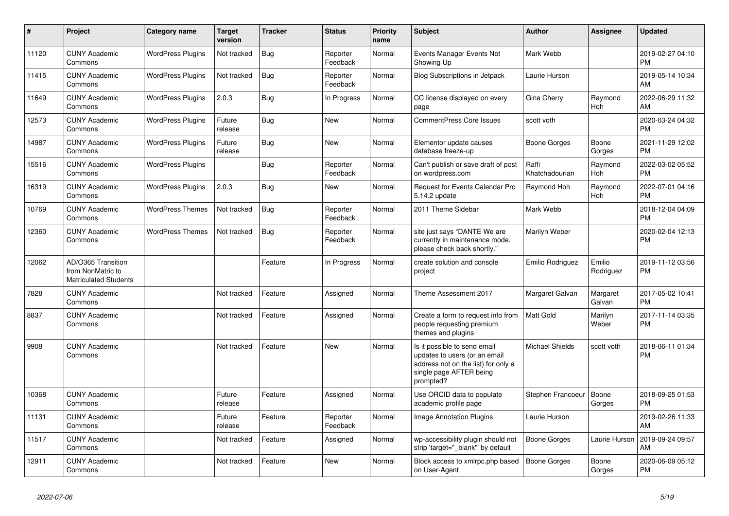| #     | Project                                                                 | <b>Category name</b>     | <b>Target</b><br>version | <b>Tracker</b> | <b>Status</b>        | <b>Priority</b><br>name | <b>Subject</b>                                                                                                                               | <b>Author</b>           | <b>Assignee</b>     | <b>Updated</b>                |
|-------|-------------------------------------------------------------------------|--------------------------|--------------------------|----------------|----------------------|-------------------------|----------------------------------------------------------------------------------------------------------------------------------------------|-------------------------|---------------------|-------------------------------|
| 11120 | <b>CUNY Academic</b><br>Commons                                         | <b>WordPress Plugins</b> | Not tracked              | <b>Bug</b>     | Reporter<br>Feedback | Normal                  | Events Manager Events Not<br>Showing Up                                                                                                      | Mark Webb               |                     | 2019-02-27 04:10<br><b>PM</b> |
| 11415 | <b>CUNY Academic</b><br>Commons                                         | <b>WordPress Plugins</b> | Not tracked              | Bug            | Reporter<br>Feedback | Normal                  | <b>Blog Subscriptions in Jetpack</b>                                                                                                         | Laurie Hurson           |                     | 2019-05-14 10:34<br>AM        |
| 11649 | <b>CUNY Academic</b><br>Commons                                         | <b>WordPress Plugins</b> | 2.0.3                    | <b>Bug</b>     | In Progress          | Normal                  | CC license displayed on every<br>page                                                                                                        | Gina Cherry             | Raymond<br>Hoh      | 2022-06-29 11:32<br>AM        |
| 12573 | <b>CUNY Academic</b><br>Commons                                         | <b>WordPress Plugins</b> | Future<br>release        | Bug            | <b>New</b>           | Normal                  | <b>CommentPress Core Issues</b>                                                                                                              | scott voth              |                     | 2020-03-24 04:32<br><b>PM</b> |
| 14987 | <b>CUNY Academic</b><br>Commons                                         | <b>WordPress Plugins</b> | Future<br>release        | Bug            | <b>New</b>           | Normal                  | Elementor update causes<br>database freeze-up                                                                                                | Boone Gorges            | Boone<br>Gorges     | 2021-11-29 12:02<br><b>PM</b> |
| 15516 | <b>CUNY Academic</b><br>Commons                                         | <b>WordPress Plugins</b> |                          | Bug            | Reporter<br>Feedback | Normal                  | Can't publish or save draft of post<br>on wordpress.com                                                                                      | Raffi<br>Khatchadourian | Raymond<br>Hoh      | 2022-03-02 05:52<br><b>PM</b> |
| 16319 | <b>CUNY Academic</b><br>Commons                                         | <b>WordPress Plugins</b> | 2.0.3                    | Bug            | <b>New</b>           | Normal                  | Request for Events Calendar Pro<br>5.14.2 update                                                                                             | Raymond Hoh             | Raymond<br>Hoh      | 2022-07-01 04:16<br><b>PM</b> |
| 10769 | <b>CUNY Academic</b><br>Commons                                         | <b>WordPress Themes</b>  | Not tracked              | Bug            | Reporter<br>Feedback | Normal                  | 2011 Theme Sidebar                                                                                                                           | Mark Webb               |                     | 2018-12-04 04:09<br><b>PM</b> |
| 12360 | <b>CUNY Academic</b><br>Commons                                         | <b>WordPress Themes</b>  | Not tracked              | <b>Bug</b>     | Reporter<br>Feedback | Normal                  | site just says "DANTE We are<br>currently in maintenance mode,<br>please check back shortly."                                                | Marilyn Weber           |                     | 2020-02-04 12:13<br><b>PM</b> |
| 12062 | AD/O365 Transition<br>from NonMatric to<br><b>Matriculated Students</b> |                          |                          | Feature        | In Progress          | Normal                  | create solution and console<br>project                                                                                                       | Emilio Rodriguez        | Emilio<br>Rodriguez | 2019-11-12 03:56<br><b>PM</b> |
| 7828  | <b>CUNY Academic</b><br>Commons                                         |                          | Not tracked              | Feature        | Assigned             | Normal                  | Theme Assessment 2017                                                                                                                        | Margaret Galvan         | Margaret<br>Galvan  | 2017-05-02 10:41<br><b>PM</b> |
| 8837  | <b>CUNY Academic</b><br>Commons                                         |                          | Not tracked              | Feature        | Assigned             | Normal                  | Create a form to request info from<br>people requesting premium<br>themes and plugins                                                        | <b>Matt Gold</b>        | Marilyn<br>Weber    | 2017-11-14 03:35<br><b>PM</b> |
| 9908  | <b>CUNY Academic</b><br>Commons                                         |                          | Not tracked              | Feature        | New                  | Normal                  | Is it possible to send email<br>updates to users (or an email<br>address not on the list) for only a<br>single page AFTER being<br>prompted? | <b>Michael Shields</b>  | scott voth          | 2018-06-11 01:34<br><b>PM</b> |
| 10368 | <b>CUNY Academic</b><br>Commons                                         |                          | Future<br>release        | Feature        | Assigned             | Normal                  | Use ORCID data to populate<br>academic profile page                                                                                          | Stephen Francoeur       | Boone<br>Gorges     | 2018-09-25 01:53<br><b>PM</b> |
| 11131 | <b>CUNY Academic</b><br>Commons                                         |                          | Future<br>release        | Feature        | Reporter<br>Feedback | Normal                  | Image Annotation Plugins                                                                                                                     | Laurie Hurson           |                     | 2019-02-26 11:33<br>AM        |
| 11517 | <b>CUNY Academic</b><br>Commons                                         |                          | Not tracked              | Feature        | Assigned             | Normal                  | wp-accessibility plugin should not<br>strip 'target="_blank"' by default                                                                     | <b>Boone Gorges</b>     | Laurie Hurson       | 2019-09-24 09:57<br>AM        |
| 12911 | <b>CUNY Academic</b><br>Commons                                         |                          | Not tracked              | Feature        | <b>New</b>           | Normal                  | Block access to xmlrpc.php based<br>on User-Agent                                                                                            | Boone Gorges            | Boone<br>Gorges     | 2020-06-09 05:12<br><b>PM</b> |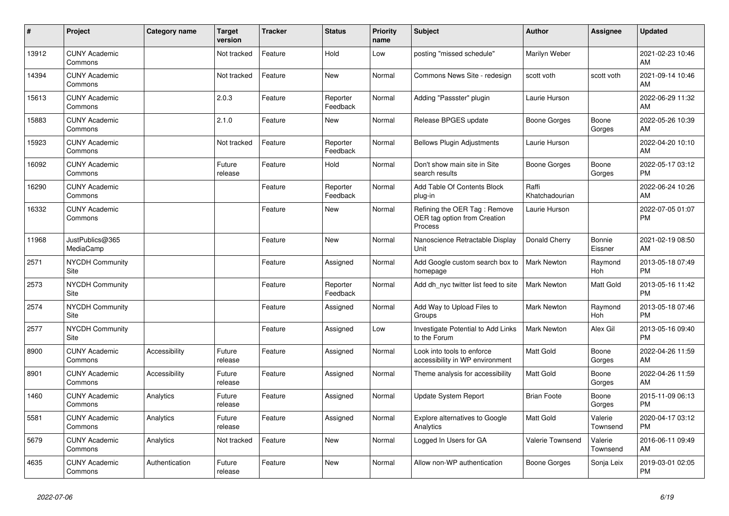| #     | Project                         | Category name  | <b>Target</b><br>version | <b>Tracker</b> | <b>Status</b>        | <b>Priority</b><br>name | <b>Subject</b>                                                          | <b>Author</b>           | Assignee            | <b>Updated</b>                |
|-------|---------------------------------|----------------|--------------------------|----------------|----------------------|-------------------------|-------------------------------------------------------------------------|-------------------------|---------------------|-------------------------------|
| 13912 | <b>CUNY Academic</b><br>Commons |                | Not tracked              | Feature        | Hold                 | Low                     | posting "missed schedule"                                               | Marilyn Weber           |                     | 2021-02-23 10:46<br>AM        |
| 14394 | <b>CUNY Academic</b><br>Commons |                | Not tracked              | Feature        | <b>New</b>           | Normal                  | Commons News Site - redesign                                            | scott voth              | scott voth          | 2021-09-14 10:46<br>AM        |
| 15613 | <b>CUNY Academic</b><br>Commons |                | 2.0.3                    | Feature        | Reporter<br>Feedback | Normal                  | Adding "Passster" plugin                                                | Laurie Hurson           |                     | 2022-06-29 11:32<br>AM        |
| 15883 | <b>CUNY Academic</b><br>Commons |                | 2.1.0                    | Feature        | <b>New</b>           | Normal                  | Release BPGES update                                                    | Boone Gorges            | Boone<br>Gorges     | 2022-05-26 10:39<br>AM        |
| 15923 | <b>CUNY Academic</b><br>Commons |                | Not tracked              | Feature        | Reporter<br>Feedback | Normal                  | <b>Bellows Plugin Adjustments</b>                                       | Laurie Hurson           |                     | 2022-04-20 10:10<br>AM        |
| 16092 | <b>CUNY Academic</b><br>Commons |                | Future<br>release        | Feature        | Hold                 | Normal                  | Don't show main site in Site<br>search results                          | Boone Gorges            | Boone<br>Gorges     | 2022-05-17 03:12<br><b>PM</b> |
| 16290 | <b>CUNY Academic</b><br>Commons |                |                          | Feature        | Reporter<br>Feedback | Normal                  | Add Table Of Contents Block<br>plug-in                                  | Raffi<br>Khatchadourian |                     | 2022-06-24 10:26<br>AM        |
| 16332 | <b>CUNY Academic</b><br>Commons |                |                          | Feature        | <b>New</b>           | Normal                  | Refining the OER Tag: Remove<br>OER tag option from Creation<br>Process | Laurie Hurson           |                     | 2022-07-05 01:07<br><b>PM</b> |
| 11968 | JustPublics@365<br>MediaCamp    |                |                          | Feature        | New                  | Normal                  | Nanoscience Retractable Display<br>Unit                                 | Donald Cherry           | Bonnie<br>Eissner   | 2021-02-19 08:50<br>AM        |
| 2571  | <b>NYCDH Community</b><br>Site  |                |                          | Feature        | Assigned             | Normal                  | Add Google custom search box to<br>homepage                             | <b>Mark Newton</b>      | Raymond<br>Hoh      | 2013-05-18 07:49<br><b>PM</b> |
| 2573  | <b>NYCDH Community</b><br>Site  |                |                          | Feature        | Reporter<br>Feedback | Normal                  | Add dh nyc twitter list feed to site                                    | Mark Newton             | Matt Gold           | 2013-05-16 11:42<br><b>PM</b> |
| 2574  | <b>NYCDH Community</b><br>Site  |                |                          | Feature        | Assigned             | Normal                  | Add Way to Upload Files to<br>Groups                                    | <b>Mark Newton</b>      | Raymond<br>Hoh      | 2013-05-18 07:46<br><b>PM</b> |
| 2577  | <b>NYCDH Community</b><br>Site  |                |                          | Feature        | Assigned             | Low                     | Investigate Potential to Add Links<br>to the Forum                      | Mark Newton             | Alex Gil            | 2013-05-16 09:40<br><b>PM</b> |
| 8900  | <b>CUNY Academic</b><br>Commons | Accessibility  | Future<br>release        | Feature        | Assigned             | Normal                  | Look into tools to enforce<br>accessibility in WP environment           | Matt Gold               | Boone<br>Gorges     | 2022-04-26 11:59<br>AM        |
| 8901  | <b>CUNY Academic</b><br>Commons | Accessibility  | Future<br>release        | Feature        | Assigned             | Normal                  | Theme analysis for accessibility                                        | <b>Matt Gold</b>        | Boone<br>Gorges     | 2022-04-26 11:59<br>AM        |
| 1460  | <b>CUNY Academic</b><br>Commons | Analytics      | Future<br>release        | Feature        | Assigned             | Normal                  | Update System Report                                                    | <b>Brian Foote</b>      | Boone<br>Gorges     | 2015-11-09 06:13<br><b>PM</b> |
| 5581  | <b>CUNY Academic</b><br>Commons | Analytics      | Future<br>release        | Feature        | Assigned             | Normal                  | Explore alternatives to Google<br>Analytics                             | <b>Matt Gold</b>        | Valerie<br>Townsend | 2020-04-17 03:12<br><b>PM</b> |
| 5679  | <b>CUNY Academic</b><br>Commons | Analytics      | Not tracked              | Feature        | New                  | Normal                  | Logged In Users for GA                                                  | Valerie Townsend        | Valerie<br>Townsend | 2016-06-11 09:49<br>AM        |
| 4635  | <b>CUNY Academic</b><br>Commons | Authentication | Future<br>release        | Feature        | <b>New</b>           | Normal                  | Allow non-WP authentication                                             | Boone Gorges            | Sonja Leix          | 2019-03-01 02:05<br><b>PM</b> |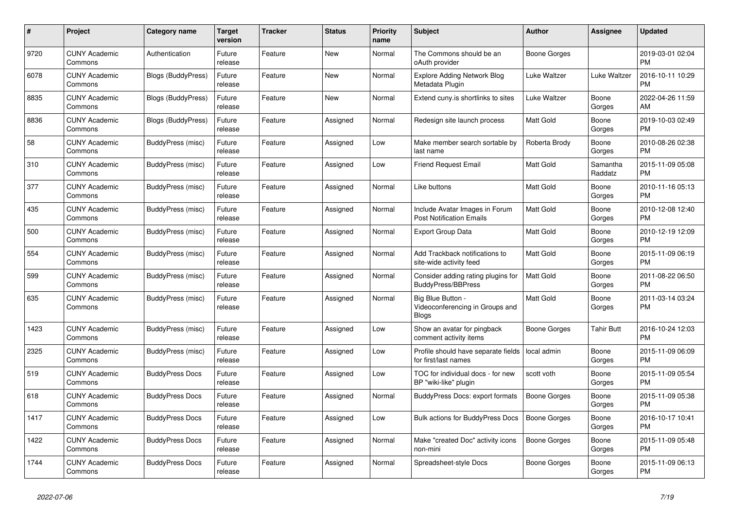| $\#$ | Project                         | <b>Category name</b>      | <b>Target</b><br>version | <b>Tracker</b> | <b>Status</b> | <b>Priority</b><br>name | <b>Subject</b>                                                       | <b>Author</b>       | Assignee            | <b>Updated</b>                |
|------|---------------------------------|---------------------------|--------------------------|----------------|---------------|-------------------------|----------------------------------------------------------------------|---------------------|---------------------|-------------------------------|
| 9720 | <b>CUNY Academic</b><br>Commons | Authentication            | Future<br>release        | Feature        | New           | Normal                  | The Commons should be an<br>oAuth provider                           | Boone Gorges        |                     | 2019-03-01 02:04<br><b>PM</b> |
| 6078 | <b>CUNY Academic</b><br>Commons | Blogs (BuddyPress)        | Future<br>release        | Feature        | <b>New</b>    | Normal                  | <b>Explore Adding Network Blog</b><br>Metadata Plugin                | Luke Waltzer        | Luke Waltzer        | 2016-10-11 10:29<br><b>PM</b> |
| 8835 | <b>CUNY Academic</b><br>Commons | Blogs (BuddyPress)        | Future<br>release        | Feature        | <b>New</b>    | Normal                  | Extend cuny.is shortlinks to sites                                   | Luke Waltzer        | Boone<br>Gorges     | 2022-04-26 11:59<br>AM        |
| 8836 | <b>CUNY Academic</b><br>Commons | <b>Blogs (BuddyPress)</b> | Future<br>release        | Feature        | Assigned      | Normal                  | Redesign site launch process                                         | <b>Matt Gold</b>    | Boone<br>Gorges     | 2019-10-03 02:49<br><b>PM</b> |
| 58   | <b>CUNY Academic</b><br>Commons | BuddyPress (misc)         | Future<br>release        | Feature        | Assigned      | Low                     | Make member search sortable by<br>last name                          | Roberta Brody       | Boone<br>Gorges     | 2010-08-26 02:38<br><b>PM</b> |
| 310  | <b>CUNY Academic</b><br>Commons | BuddyPress (misc)         | Future<br>release        | Feature        | Assigned      | Low                     | <b>Friend Request Email</b>                                          | Matt Gold           | Samantha<br>Raddatz | 2015-11-09 05:08<br><b>PM</b> |
| 377  | <b>CUNY Academic</b><br>Commons | BuddyPress (misc)         | Future<br>release        | Feature        | Assigned      | Normal                  | Like buttons                                                         | <b>Matt Gold</b>    | Boone<br>Gorges     | 2010-11-16 05:13<br><b>PM</b> |
| 435  | <b>CUNY Academic</b><br>Commons | BuddyPress (misc)         | Future<br>release        | Feature        | Assigned      | Normal                  | Include Avatar Images in Forum<br><b>Post Notification Emails</b>    | <b>Matt Gold</b>    | Boone<br>Gorges     | 2010-12-08 12:40<br><b>PM</b> |
| 500  | <b>CUNY Academic</b><br>Commons | BuddyPress (misc)         | Future<br>release        | Feature        | Assigned      | Normal                  | <b>Export Group Data</b>                                             | <b>Matt Gold</b>    | Boone<br>Gorges     | 2010-12-19 12:09<br><b>PM</b> |
| 554  | <b>CUNY Academic</b><br>Commons | BuddyPress (misc)         | Future<br>release        | Feature        | Assigned      | Normal                  | Add Trackback notifications to<br>site-wide activity feed            | <b>Matt Gold</b>    | Boone<br>Gorges     | 2015-11-09 06:19<br><b>PM</b> |
| 599  | <b>CUNY Academic</b><br>Commons | <b>BuddyPress</b> (misc)  | Future<br>release        | Feature        | Assigned      | Normal                  | Consider adding rating plugins for<br><b>BuddyPress/BBPress</b>      | <b>Matt Gold</b>    | Boone<br>Gorges     | 2011-08-22 06:50<br><b>PM</b> |
| 635  | <b>CUNY Academic</b><br>Commons | BuddyPress (misc)         | Future<br>release        | Feature        | Assigned      | Normal                  | Big Blue Button -<br>Videoconferencing in Groups and<br><b>Blogs</b> | <b>Matt Gold</b>    | Boone<br>Gorges     | 2011-03-14 03:24<br><b>PM</b> |
| 1423 | <b>CUNY Academic</b><br>Commons | BuddyPress (misc)         | Future<br>release        | Feature        | Assigned      | Low                     | Show an avatar for pingback<br>comment activity items                | Boone Gorges        | <b>Tahir Butt</b>   | 2016-10-24 12:03<br><b>PM</b> |
| 2325 | <b>CUNY Academic</b><br>Commons | BuddyPress (misc)         | Future<br>release        | Feature        | Assigned      | Low                     | Profile should have separate fields<br>for first/last names          | local admin         | Boone<br>Gorges     | 2015-11-09 06:09<br><b>PM</b> |
| 519  | <b>CUNY Academic</b><br>Commons | <b>BuddyPress Docs</b>    | Future<br>release        | Feature        | Assigned      | Low                     | TOC for individual docs - for new<br>BP "wiki-like" plugin           | scott voth          | Boone<br>Gorges     | 2015-11-09 05:54<br>PM        |
| 618  | <b>CUNY Academic</b><br>Commons | <b>BuddyPress Docs</b>    | Future<br>release        | Feature        | Assigned      | Normal                  | <b>BuddyPress Docs: export formats</b>                               | <b>Boone Gorges</b> | Boone<br>Gorges     | 2015-11-09 05:38<br><b>PM</b> |
| 1417 | <b>CUNY Academic</b><br>Commons | <b>BuddyPress Docs</b>    | Future<br>release        | Feature        | Assigned      | Low                     | Bulk actions for BuddyPress Docs                                     | <b>Boone Gorges</b> | Boone<br>Gorges     | 2016-10-17 10:41<br><b>PM</b> |
| 1422 | <b>CUNY Academic</b><br>Commons | <b>BuddyPress Docs</b>    | Future<br>release        | Feature        | Assigned      | Normal                  | Make "created Doc" activity icons<br>non-mini                        | <b>Boone Gorges</b> | Boone<br>Gorges     | 2015-11-09 05:48<br><b>PM</b> |
| 1744 | <b>CUNY Academic</b><br>Commons | <b>BuddyPress Docs</b>    | Future<br>release        | Feature        | Assigned      | Normal                  | Spreadsheet-style Docs                                               | Boone Gorges        | Boone<br>Gorges     | 2015-11-09 06:13<br>PM        |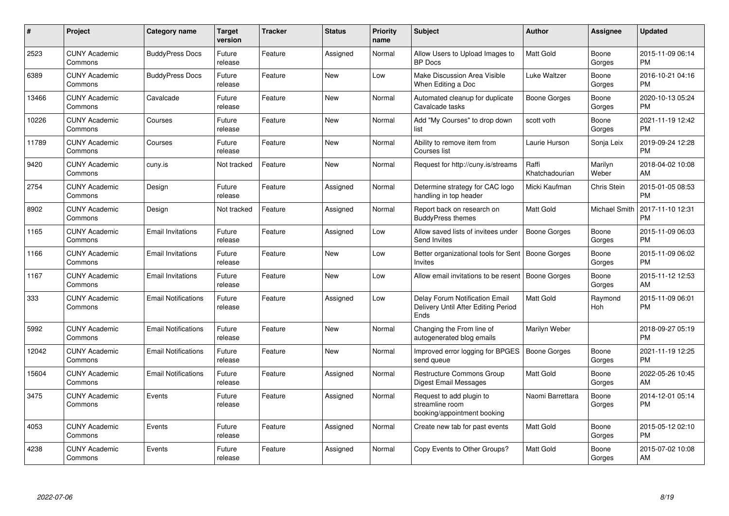| #     | Project                         | <b>Category name</b>       | Target<br>version | <b>Tracker</b> | <b>Status</b> | <b>Priority</b><br>name | <b>Subject</b>                                                                | <b>Author</b>           | Assignee         | <b>Updated</b>                |
|-------|---------------------------------|----------------------------|-------------------|----------------|---------------|-------------------------|-------------------------------------------------------------------------------|-------------------------|------------------|-------------------------------|
| 2523  | <b>CUNY Academic</b><br>Commons | <b>BuddyPress Docs</b>     | Future<br>release | Feature        | Assigned      | Normal                  | Allow Users to Upload Images to<br><b>BP</b> Docs                             | Matt Gold               | Boone<br>Gorges  | 2015-11-09 06:14<br>PM        |
| 6389  | <b>CUNY Academic</b><br>Commons | <b>BuddyPress Docs</b>     | Future<br>release | Feature        | New           | Low                     | Make Discussion Area Visible<br>When Editing a Doc                            | Luke Waltzer            | Boone<br>Gorges  | 2016-10-21 04:16<br><b>PM</b> |
| 13466 | <b>CUNY Academic</b><br>Commons | Cavalcade                  | Future<br>release | Feature        | <b>New</b>    | Normal                  | Automated cleanup for duplicate<br>Cavalcade tasks                            | Boone Gorges            | Boone<br>Gorges  | 2020-10-13 05:24<br><b>PM</b> |
| 10226 | <b>CUNY Academic</b><br>Commons | Courses                    | Future<br>release | Feature        | <b>New</b>    | Normal                  | Add "My Courses" to drop down<br>list                                         | scott voth              | Boone<br>Gorges  | 2021-11-19 12:42<br><b>PM</b> |
| 11789 | <b>CUNY Academic</b><br>Commons | Courses                    | Future<br>release | Feature        | <b>New</b>    | Normal                  | Ability to remove item from<br>Courses list                                   | Laurie Hurson           | Sonja Leix       | 2019-09-24 12:28<br><b>PM</b> |
| 9420  | <b>CUNY Academic</b><br>Commons | cuny.is                    | Not tracked       | Feature        | <b>New</b>    | Normal                  | Request for http://cuny.is/streams                                            | Raffi<br>Khatchadourian | Marilyn<br>Weber | 2018-04-02 10:08<br><b>AM</b> |
| 2754  | <b>CUNY Academic</b><br>Commons | Design                     | Future<br>release | Feature        | Assigned      | Normal                  | Determine strategy for CAC logo<br>handling in top header                     | Micki Kaufman           | Chris Stein      | 2015-01-05 08:53<br><b>PM</b> |
| 8902  | <b>CUNY Academic</b><br>Commons | Design                     | Not tracked       | Feature        | Assigned      | Normal                  | Report back on research on<br><b>BuddyPress themes</b>                        | <b>Matt Gold</b>        | Michael Smith    | 2017-11-10 12:31<br><b>PM</b> |
| 1165  | <b>CUNY Academic</b><br>Commons | <b>Email Invitations</b>   | Future<br>release | Feature        | Assigned      | Low                     | Allow saved lists of invitees under<br>Send Invites                           | Boone Gorges            | Boone<br>Gorges  | 2015-11-09 06:03<br><b>PM</b> |
| 1166  | <b>CUNY Academic</b><br>Commons | <b>Email Invitations</b>   | Future<br>release | Feature        | <b>New</b>    | Low                     | Better organizational tools for Sent   Boone Gorges<br>Invites                |                         | Boone<br>Gorges  | 2015-11-09 06:02<br><b>PM</b> |
| 1167  | <b>CUNY Academic</b><br>Commons | <b>Email Invitations</b>   | Future<br>release | Feature        | <b>New</b>    | Low                     | Allow email invitations to be resent                                          | Boone Gorges            | Boone<br>Gorges  | 2015-11-12 12:53<br>AM        |
| 333   | <b>CUNY Academic</b><br>Commons | <b>Email Notifications</b> | Future<br>release | Feature        | Assigned      | Low                     | Delay Forum Notification Email<br>Delivery Until After Editing Period<br>Ends | <b>Matt Gold</b>        | Raymond<br>Hoh   | 2015-11-09 06:01<br>PM        |
| 5992  | <b>CUNY Academic</b><br>Commons | <b>Email Notifications</b> | Future<br>release | Feature        | New           | Normal                  | Changing the From line of<br>autogenerated blog emails                        | Marilyn Weber           |                  | 2018-09-27 05:19<br><b>PM</b> |
| 12042 | <b>CUNY Academic</b><br>Commons | <b>Email Notifications</b> | Future<br>release | Feature        | New           | Normal                  | Improved error logging for BPGES<br>send queue                                | <b>Boone Gorges</b>     | Boone<br>Gorges  | 2021-11-19 12:25<br><b>PM</b> |
| 15604 | <b>CUNY Academic</b><br>Commons | <b>Email Notifications</b> | Future<br>release | Feature        | Assigned      | Normal                  | <b>Restructure Commons Group</b><br><b>Digest Email Messages</b>              | Matt Gold               | Boone<br>Gorges  | 2022-05-26 10:45<br>AM        |
| 3475  | <b>CUNY Academic</b><br>Commons | Events                     | Future<br>release | Feature        | Assigned      | Normal                  | Request to add plugin to<br>streamline room<br>booking/appointment booking    | Naomi Barrettara        | Boone<br>Gorges  | 2014-12-01 05:14<br><b>PM</b> |
| 4053  | <b>CUNY Academic</b><br>Commons | Events                     | Future<br>release | Feature        | Assigned      | Normal                  | Create new tab for past events                                                | <b>Matt Gold</b>        | Boone<br>Gorges  | 2015-05-12 02:10<br>PM        |
| 4238  | <b>CUNY Academic</b><br>Commons | Events                     | Future<br>release | Feature        | Assigned      | Normal                  | Copy Events to Other Groups?                                                  | <b>Matt Gold</b>        | Boone<br>Gorges  | 2015-07-02 10:08<br>AM        |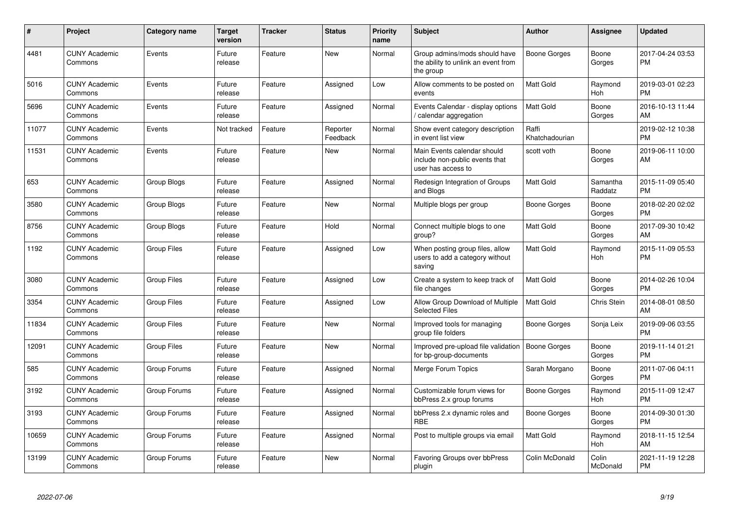| #     | Project                         | <b>Category name</b> | <b>Target</b><br>version | <b>Tracker</b> | <b>Status</b>        | <b>Priority</b><br>name | <b>Subject</b>                                                                      | <b>Author</b>           | <b>Assignee</b>       | <b>Updated</b>                |
|-------|---------------------------------|----------------------|--------------------------|----------------|----------------------|-------------------------|-------------------------------------------------------------------------------------|-------------------------|-----------------------|-------------------------------|
| 4481  | <b>CUNY Academic</b><br>Commons | Events               | Future<br>release        | Feature        | <b>New</b>           | Normal                  | Group admins/mods should have<br>the ability to unlink an event from<br>the group   | Boone Gorges            | Boone<br>Gorges       | 2017-04-24 03:53<br><b>PM</b> |
| 5016  | <b>CUNY Academic</b><br>Commons | Events               | Future<br>release        | Feature        | Assigned             | Low                     | Allow comments to be posted on<br>events                                            | <b>Matt Gold</b>        | Raymond<br>Hoh        | 2019-03-01 02:23<br><b>PM</b> |
| 5696  | <b>CUNY Academic</b><br>Commons | Events               | Future<br>release        | Feature        | Assigned             | Normal                  | Events Calendar - display options<br>/ calendar aggregation                         | Matt Gold               | Boone<br>Gorges       | 2016-10-13 11:44<br>AM        |
| 11077 | <b>CUNY Academic</b><br>Commons | Events               | Not tracked              | Feature        | Reporter<br>Feedback | Normal                  | Show event category description<br>in event list view                               | Raffi<br>Khatchadourian |                       | 2019-02-12 10:38<br><b>PM</b> |
| 11531 | <b>CUNY Academic</b><br>Commons | Events               | Future<br>release        | Feature        | New                  | Normal                  | Main Events calendar should<br>include non-public events that<br>user has access to | scott voth              | Boone<br>Gorges       | 2019-06-11 10:00<br>AM        |
| 653   | <b>CUNY Academic</b><br>Commons | Group Blogs          | Future<br>release        | Feature        | Assigned             | Normal                  | Redesign Integration of Groups<br>and Blogs                                         | Matt Gold               | Samantha<br>Raddatz   | 2015-11-09 05:40<br><b>PM</b> |
| 3580  | <b>CUNY Academic</b><br>Commons | Group Blogs          | Future<br>release        | Feature        | <b>New</b>           | Normal                  | Multiple blogs per group                                                            | Boone Gorges            | Boone<br>Gorges       | 2018-02-20 02:02<br><b>PM</b> |
| 8756  | <b>CUNY Academic</b><br>Commons | Group Blogs          | Future<br>release        | Feature        | Hold                 | Normal                  | Connect multiple blogs to one<br>group?                                             | Matt Gold               | Boone<br>Gorges       | 2017-09-30 10:42<br>AM        |
| 1192  | <b>CUNY Academic</b><br>Commons | <b>Group Files</b>   | Future<br>release        | Feature        | Assigned             | Low                     | When posting group files, allow<br>users to add a category without<br>saving        | Matt Gold               | Raymond<br>Hoh        | 2015-11-09 05:53<br><b>PM</b> |
| 3080  | <b>CUNY Academic</b><br>Commons | <b>Group Files</b>   | Future<br>release        | Feature        | Assigned             | Low                     | Create a system to keep track of<br>file changes                                    | <b>Matt Gold</b>        | Boone<br>Gorges       | 2014-02-26 10:04<br><b>PM</b> |
| 3354  | <b>CUNY Academic</b><br>Commons | <b>Group Files</b>   | Future<br>release        | Feature        | Assigned             | Low                     | Allow Group Download of Multiple<br><b>Selected Files</b>                           | Matt Gold               | Chris Stein           | 2014-08-01 08:50<br>AM        |
| 11834 | <b>CUNY Academic</b><br>Commons | <b>Group Files</b>   | Future<br>release        | Feature        | <b>New</b>           | Normal                  | Improved tools for managing<br>group file folders                                   | Boone Gorges            | Sonja Leix            | 2019-09-06 03:55<br><b>PM</b> |
| 12091 | <b>CUNY Academic</b><br>Commons | Group Files          | Future<br>release        | Feature        | <b>New</b>           | Normal                  | Improved pre-upload file validation<br>for bp-group-documents                       | <b>Boone Gorges</b>     | Boone<br>Gorges       | 2019-11-14 01:21<br><b>PM</b> |
| 585   | <b>CUNY Academic</b><br>Commons | Group Forums         | Future<br>release        | Feature        | Assigned             | Normal                  | Merge Forum Topics                                                                  | Sarah Morgano           | Boone<br>Gorges       | 2011-07-06 04:11<br><b>PM</b> |
| 3192  | <b>CUNY Academic</b><br>Commons | Group Forums         | Future<br>release        | Feature        | Assigned             | Normal                  | Customizable forum views for<br>bbPress 2.x group forums                            | Boone Gorges            | Raymond<br>Hoh        | 2015-11-09 12:47<br><b>PM</b> |
| 3193  | <b>CUNY Academic</b><br>Commons | Group Forums         | Future<br>release        | Feature        | Assigned             | Normal                  | bbPress 2.x dynamic roles and<br><b>RBE</b>                                         | Boone Gorges            | Boone<br>Gorges       | 2014-09-30 01:30<br><b>PM</b> |
| 10659 | <b>CUNY Academic</b><br>Commons | Group Forums         | Future<br>release        | Feature        | Assigned             | Normal                  | Post to multiple groups via email                                                   | Matt Gold               | Raymond<br><b>Hoh</b> | 2018-11-15 12:54<br>AM        |
| 13199 | <b>CUNY Academic</b><br>Commons | Group Forums         | Future<br>release        | Feature        | <b>New</b>           | Normal                  | <b>Favoring Groups over bbPress</b><br>plugin                                       | Colin McDonald          | Colin<br>McDonald     | 2021-11-19 12:28<br><b>PM</b> |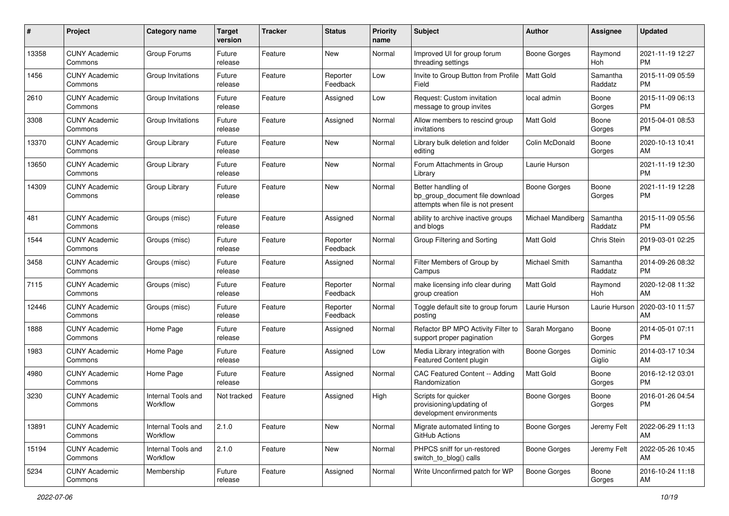| #     | Project                         | <b>Category name</b>           | <b>Target</b><br>version | <b>Tracker</b> | <b>Status</b>        | Priority<br>name | Subject                                                                                    | Author               | <b>Assignee</b>     | <b>Updated</b>                |
|-------|---------------------------------|--------------------------------|--------------------------|----------------|----------------------|------------------|--------------------------------------------------------------------------------------------|----------------------|---------------------|-------------------------------|
| 13358 | <b>CUNY Academic</b><br>Commons | Group Forums                   | Future<br>release        | Feature        | New                  | Normal           | Improved UI for group forum<br>threading settings                                          | <b>Boone Gorges</b>  | Raymond<br>Hoh      | 2021-11-19 12:27<br><b>PM</b> |
| 1456  | <b>CUNY Academic</b><br>Commons | Group Invitations              | Future<br>release        | Feature        | Reporter<br>Feedback | Low              | Invite to Group Button from Profile<br>Field                                               | <b>Matt Gold</b>     | Samantha<br>Raddatz | 2015-11-09 05:59<br><b>PM</b> |
| 2610  | <b>CUNY Academic</b><br>Commons | Group Invitations              | Future<br>release        | Feature        | Assigned             | Low              | Request: Custom invitation<br>message to group invites                                     | local admin          | Boone<br>Gorges     | 2015-11-09 06:13<br><b>PM</b> |
| 3308  | <b>CUNY Academic</b><br>Commons | Group Invitations              | Future<br>release        | Feature        | Assigned             | Normal           | Allow members to rescind group<br>invitations                                              | <b>Matt Gold</b>     | Boone<br>Gorges     | 2015-04-01 08:53<br>PM.       |
| 13370 | <b>CUNY Academic</b><br>Commons | Group Library                  | Future<br>release        | Feature        | New                  | Normal           | Library bulk deletion and folder<br>editing                                                | Colin McDonald       | Boone<br>Gorges     | 2020-10-13 10:41<br>AM        |
| 13650 | <b>CUNY Academic</b><br>Commons | Group Library                  | Future<br>release        | Feature        | New                  | Normal           | Forum Attachments in Group<br>Library                                                      | Laurie Hurson        |                     | 2021-11-19 12:30<br><b>PM</b> |
| 14309 | <b>CUNY Academic</b><br>Commons | Group Library                  | Future<br>release        | Feature        | New                  | Normal           | Better handling of<br>bp_group_document file download<br>attempts when file is not present | <b>Boone Gorges</b>  | Boone<br>Gorges     | 2021-11-19 12:28<br>PM.       |
| 481   | <b>CUNY Academic</b><br>Commons | Groups (misc)                  | Future<br>release        | Feature        | Assigned             | Normal           | ability to archive inactive groups<br>and blogs                                            | Michael Mandiberg    | Samantha<br>Raddatz | 2015-11-09 05:56<br><b>PM</b> |
| 1544  | <b>CUNY Academic</b><br>Commons | Groups (misc)                  | Future<br>release        | Feature        | Reporter<br>Feedback | Normal           | Group Filtering and Sorting                                                                | <b>Matt Gold</b>     | Chris Stein         | 2019-03-01 02:25<br>PM.       |
| 3458  | <b>CUNY Academic</b><br>Commons | Groups (misc)                  | Future<br>release        | Feature        | Assigned             | Normal           | Filter Members of Group by<br>Campus                                                       | <b>Michael Smith</b> | Samantha<br>Raddatz | 2014-09-26 08:32<br><b>PM</b> |
| 7115  | <b>CUNY Academic</b><br>Commons | Groups (misc)                  | Future<br>release        | Feature        | Reporter<br>Feedback | Normal           | make licensing info clear during<br>group creation                                         | Matt Gold            | Raymond<br>Hoh      | 2020-12-08 11:32<br>AM.       |
| 12446 | <b>CUNY Academic</b><br>Commons | Groups (misc)                  | Future<br>release        | Feature        | Reporter<br>Feedback | Normal           | Toggle default site to group forum<br>posting                                              | Laurie Hurson        | Laurie Hurson       | 2020-03-10 11:57<br>AM.       |
| 1888  | <b>CUNY Academic</b><br>Commons | Home Page                      | Future<br>release        | Feature        | Assigned             | Normal           | Refactor BP MPO Activity Filter to<br>support proper pagination                            | Sarah Morgano        | Boone<br>Gorges     | 2014-05-01 07:11<br><b>PM</b> |
| 1983  | <b>CUNY Academic</b><br>Commons | Home Page                      | Future<br>release        | Feature        | Assigned             | Low              | Media Library integration with<br>Featured Content plugin                                  | <b>Boone Gorges</b>  | Dominic<br>Giglio   | 2014-03-17 10:34<br>AM.       |
| 4980  | <b>CUNY Academic</b><br>Commons | Home Page                      | Future<br>release        | Feature        | Assigned             | Normal           | CAC Featured Content -- Adding<br>Randomization                                            | Matt Gold            | Boone<br>Gorges     | 2016-12-12 03:01<br><b>PM</b> |
| 3230  | <b>CUNY Academic</b><br>Commons | Internal Tools and<br>Workflow | Not tracked              | Feature        | Assigned             | High             | Scripts for quicker<br>provisioning/updating of<br>development environments                | <b>Boone Gorges</b>  | Boone<br>Gorges     | 2016-01-26 04:54<br><b>PM</b> |
| 13891 | <b>CUNY Academic</b><br>Commons | Internal Tools and<br>Workflow | 2.1.0                    | Feature        | New                  | Normal           | Migrate automated linting to<br>GitHub Actions                                             | <b>Boone Gorges</b>  | Jeremy Felt         | 2022-06-29 11:13<br>AM        |
| 15194 | <b>CUNY Academic</b><br>Commons | Internal Tools and<br>Workflow | 2.1.0                    | Feature        | New                  | Normal           | PHPCS sniff for un-restored<br>switch_to_blog() calls                                      | Boone Gorges         | Jeremy Felt         | 2022-05-26 10:45<br>AM        |
| 5234  | <b>CUNY Academic</b><br>Commons | Membership                     | Future<br>release        | Feature        | Assigned             | Normal           | Write Unconfirmed patch for WP                                                             | <b>Boone Gorges</b>  | Boone<br>Gorges     | 2016-10-24 11:18<br>AM        |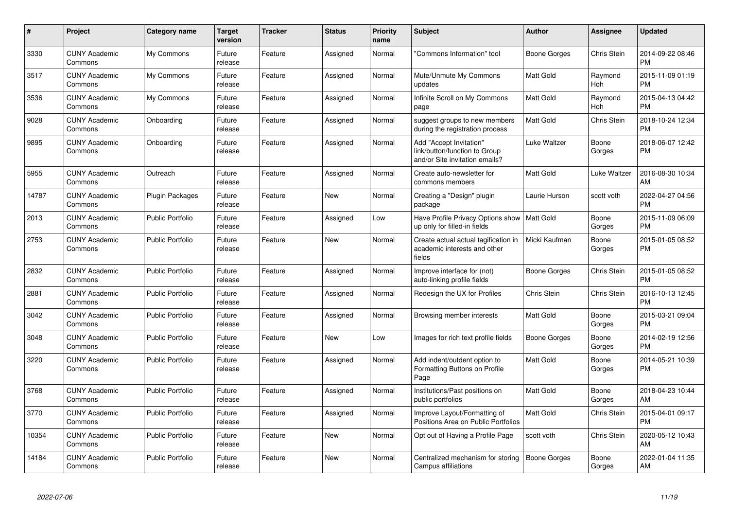| #     | <b>Project</b>                  | <b>Category name</b>    | <b>Target</b><br>version | <b>Tracker</b> | <b>Status</b> | Priority<br>name | <b>Subject</b>                                                                             | <b>Author</b>    | <b>Assignee</b> | <b>Updated</b>                |
|-------|---------------------------------|-------------------------|--------------------------|----------------|---------------|------------------|--------------------------------------------------------------------------------------------|------------------|-----------------|-------------------------------|
| 3330  | <b>CUNY Academic</b><br>Commons | My Commons              | Future<br>release        | Feature        | Assigned      | Normal           | "Commons Information" tool                                                                 | Boone Gorges     | Chris Stein     | 2014-09-22 08:46<br><b>PM</b> |
| 3517  | <b>CUNY Academic</b><br>Commons | My Commons              | Future<br>release        | Feature        | Assigned      | Normal           | Mute/Unmute My Commons<br>updates                                                          | Matt Gold        | Raymond<br>Hoh  | 2015-11-09 01:19<br><b>PM</b> |
| 3536  | <b>CUNY Academic</b><br>Commons | My Commons              | Future<br>release        | Feature        | Assigned      | Normal           | Infinite Scroll on My Commons<br>page                                                      | Matt Gold        | Raymond<br>Hoh  | 2015-04-13 04:42<br><b>PM</b> |
| 9028  | <b>CUNY Academic</b><br>Commons | Onboarding              | Future<br>release        | Feature        | Assigned      | Normal           | suggest groups to new members<br>during the registration process                           | Matt Gold        | Chris Stein     | 2018-10-24 12:34<br><b>PM</b> |
| 9895  | <b>CUNY Academic</b><br>Commons | Onboarding              | Future<br>release        | Feature        | Assigned      | Normal           | Add "Accept Invitation"<br>link/button/function to Group<br>and/or Site invitation emails? | Luke Waltzer     | Boone<br>Gorges | 2018-06-07 12:42<br>PM.       |
| 5955  | <b>CUNY Academic</b><br>Commons | Outreach                | Future<br>release        | Feature        | Assigned      | Normal           | Create auto-newsletter for<br>commons members                                              | <b>Matt Gold</b> | Luke Waltzer    | 2016-08-30 10:34<br>AM        |
| 14787 | <b>CUNY Academic</b><br>Commons | <b>Plugin Packages</b>  | Future<br>release        | Feature        | <b>New</b>    | Normal           | Creating a "Design" plugin<br>package                                                      | Laurie Hurson    | scott voth      | 2022-04-27 04:56<br><b>PM</b> |
| 2013  | <b>CUNY Academic</b><br>Commons | <b>Public Portfolio</b> | Future<br>release        | Feature        | Assigned      | Low              | Have Profile Privacy Options show<br>up only for filled-in fields                          | <b>Matt Gold</b> | Boone<br>Gorges | 2015-11-09 06:09<br><b>PM</b> |
| 2753  | <b>CUNY Academic</b><br>Commons | <b>Public Portfolio</b> | Future<br>release        | Feature        | <b>New</b>    | Normal           | Create actual actual tagification in<br>academic interests and other<br>fields             | Micki Kaufman    | Boone<br>Gorges | 2015-01-05 08:52<br><b>PM</b> |
| 2832  | <b>CUNY Academic</b><br>Commons | <b>Public Portfolio</b> | Future<br>release        | Feature        | Assigned      | Normal           | Improve interface for (not)<br>auto-linking profile fields                                 | Boone Gorges     | Chris Stein     | 2015-01-05 08:52<br><b>PM</b> |
| 2881  | <b>CUNY Academic</b><br>Commons | Public Portfolio        | Future<br>release        | Feature        | Assigned      | Normal           | Redesign the UX for Profiles                                                               | Chris Stein      | Chris Stein     | 2016-10-13 12:45<br><b>PM</b> |
| 3042  | <b>CUNY Academic</b><br>Commons | Public Portfolio        | Future<br>release        | Feature        | Assigned      | Normal           | Browsing member interests                                                                  | <b>Matt Gold</b> | Boone<br>Gorges | 2015-03-21 09:04<br><b>PM</b> |
| 3048  | <b>CUNY Academic</b><br>Commons | Public Portfolio        | Future<br>release        | Feature        | <b>New</b>    | Low              | Images for rich text profile fields                                                        | Boone Gorges     | Boone<br>Gorges | 2014-02-19 12:56<br><b>PM</b> |
| 3220  | <b>CUNY Academic</b><br>Commons | <b>Public Portfolio</b> | Future<br>release        | Feature        | Assigned      | Normal           | Add indent/outdent option to<br>Formatting Buttons on Profile<br>Page                      | Matt Gold        | Boone<br>Gorges | 2014-05-21 10:39<br><b>PM</b> |
| 3768  | <b>CUNY Academic</b><br>Commons | <b>Public Portfolio</b> | Future<br>release        | Feature        | Assigned      | Normal           | Institutions/Past positions on<br>public portfolios                                        | Matt Gold        | Boone<br>Gorges | 2018-04-23 10:44<br>AM        |
| 3770  | <b>CUNY Academic</b><br>Commons | <b>Public Portfolio</b> | Future<br>release        | Feature        | Assigned      | Normal           | Improve Layout/Formatting of<br>Positions Area on Public Portfolios                        | <b>Matt Gold</b> | Chris Stein     | 2015-04-01 09:17<br><b>PM</b> |
| 10354 | <b>CUNY Academic</b><br>Commons | <b>Public Portfolio</b> | Future<br>release        | Feature        | <b>New</b>    | Normal           | Opt out of Having a Profile Page                                                           | scott voth       | Chris Stein     | 2020-05-12 10:43<br>AM        |
| 14184 | <b>CUNY Academic</b><br>Commons | <b>Public Portfolio</b> | Future<br>release        | Feature        | <b>New</b>    | Normal           | Centralized mechanism for storing<br>Campus affiliations                                   | Boone Gorges     | Boone<br>Gorges | 2022-01-04 11:35<br>AM        |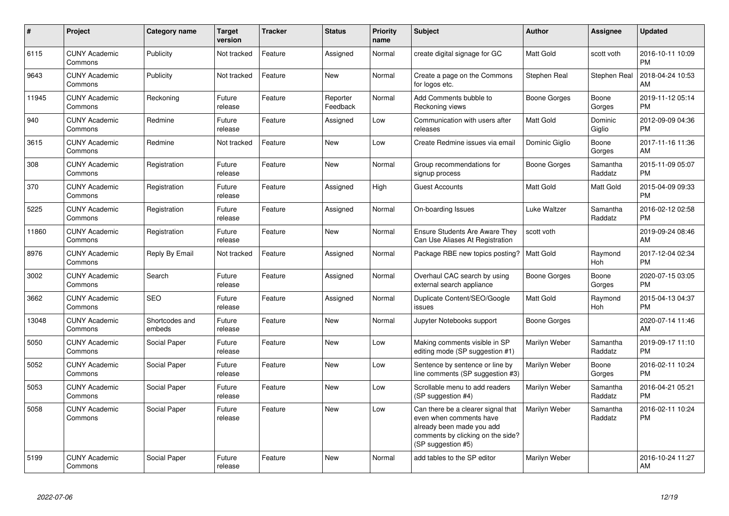| $\pmb{\#}$ | Project                         | <b>Category name</b>     | <b>Target</b><br>version | <b>Tracker</b> | <b>Status</b>        | <b>Priority</b><br>name | <b>Subject</b>                                                                                                                                        | <b>Author</b>    | Assignee            | <b>Updated</b>                |
|------------|---------------------------------|--------------------------|--------------------------|----------------|----------------------|-------------------------|-------------------------------------------------------------------------------------------------------------------------------------------------------|------------------|---------------------|-------------------------------|
| 6115       | <b>CUNY Academic</b><br>Commons | Publicity                | Not tracked              | Feature        | Assigned             | Normal                  | create digital signage for GC                                                                                                                         | <b>Matt Gold</b> | scott voth          | 2016-10-11 10:09<br><b>PM</b> |
| 9643       | <b>CUNY Academic</b><br>Commons | Publicity                | Not tracked              | Feature        | <b>New</b>           | Normal                  | Create a page on the Commons<br>for logos etc.                                                                                                        | Stephen Real     | Stephen Real        | 2018-04-24 10:53<br>AM        |
| 11945      | <b>CUNY Academic</b><br>Commons | Reckoning                | Future<br>release        | Feature        | Reporter<br>Feedback | Normal                  | Add Comments bubble to<br>Reckoning views                                                                                                             | Boone Gorges     | Boone<br>Gorges     | 2019-11-12 05:14<br><b>PM</b> |
| 940        | <b>CUNY Academic</b><br>Commons | Redmine                  | Future<br>release        | Feature        | Assigned             | Low                     | Communication with users after<br>releases                                                                                                            | Matt Gold        | Dominic<br>Giglio   | 2012-09-09 04:36<br><b>PM</b> |
| 3615       | <b>CUNY Academic</b><br>Commons | Redmine                  | Not tracked              | Feature        | <b>New</b>           | Low                     | Create Redmine issues via email                                                                                                                       | Dominic Giglio   | Boone<br>Gorges     | 2017-11-16 11:36<br>AM        |
| 308        | <b>CUNY Academic</b><br>Commons | Registration             | Future<br>release        | Feature        | New                  | Normal                  | Group recommendations for<br>signup process                                                                                                           | Boone Gorges     | Samantha<br>Raddatz | 2015-11-09 05:07<br><b>PM</b> |
| 370        | <b>CUNY Academic</b><br>Commons | Registration             | Future<br>release        | Feature        | Assigned             | High                    | <b>Guest Accounts</b>                                                                                                                                 | <b>Matt Gold</b> | Matt Gold           | 2015-04-09 09:33<br><b>PM</b> |
| 5225       | <b>CUNY Academic</b><br>Commons | Registration             | Future<br>release        | Feature        | Assigned             | Normal                  | On-boarding Issues                                                                                                                                    | Luke Waltzer     | Samantha<br>Raddatz | 2016-02-12 02:58<br><b>PM</b> |
| 11860      | <b>CUNY Academic</b><br>Commons | Registration             | Future<br>release        | Feature        | <b>New</b>           | Normal                  | Ensure Students Are Aware They<br>Can Use Aliases At Registration                                                                                     | scott voth       |                     | 2019-09-24 08:46<br>AM        |
| 8976       | <b>CUNY Academic</b><br>Commons | Reply By Email           | Not tracked              | Feature        | Assigned             | Normal                  | Package RBE new topics posting?                                                                                                                       | <b>Matt Gold</b> | Raymond<br>Hoh      | 2017-12-04 02:34<br><b>PM</b> |
| 3002       | <b>CUNY Academic</b><br>Commons | Search                   | Future<br>release        | Feature        | Assigned             | Normal                  | Overhaul CAC search by using<br>external search appliance                                                                                             | Boone Gorges     | Boone<br>Gorges     | 2020-07-15 03:05<br><b>PM</b> |
| 3662       | <b>CUNY Academic</b><br>Commons | <b>SEO</b>               | Future<br>release        | Feature        | Assigned             | Normal                  | Duplicate Content/SEO/Google<br>issues                                                                                                                | <b>Matt Gold</b> | Raymond<br>Hoh      | 2015-04-13 04:37<br><b>PM</b> |
| 13048      | <b>CUNY Academic</b><br>Commons | Shortcodes and<br>embeds | Future<br>release        | Feature        | New                  | Normal                  | Jupyter Notebooks support                                                                                                                             | Boone Gorges     |                     | 2020-07-14 11:46<br>AM        |
| 5050       | <b>CUNY Academic</b><br>Commons | Social Paper             | Future<br>release        | Feature        | <b>New</b>           | Low                     | Making comments visible in SP<br>editing mode (SP suggestion #1)                                                                                      | Marilyn Weber    | Samantha<br>Raddatz | 2019-09-17 11:10<br><b>PM</b> |
| 5052       | <b>CUNY Academic</b><br>Commons | Social Paper             | Future<br>release        | Feature        | <b>New</b>           | Low                     | Sentence by sentence or line by<br>line comments (SP suggestion #3)                                                                                   | Marilyn Weber    | Boone<br>Gorges     | 2016-02-11 10:24<br><b>PM</b> |
| 5053       | <b>CUNY Academic</b><br>Commons | Social Paper             | Future<br>release        | Feature        | <b>New</b>           | Low                     | Scrollable menu to add readers<br>(SP suggestion #4)                                                                                                  | Marilyn Weber    | Samantha<br>Raddatz | 2016-04-21 05:21<br><b>PM</b> |
| 5058       | <b>CUNY Academic</b><br>Commons | Social Paper             | Future<br>release        | Feature        | <b>New</b>           | Low                     | Can there be a clearer signal that<br>even when comments have<br>already been made you add<br>comments by clicking on the side?<br>(SP suggestion #5) | Marilyn Weber    | Samantha<br>Raddatz | 2016-02-11 10:24<br><b>PM</b> |
| 5199       | <b>CUNY Academic</b><br>Commons | Social Paper             | Future<br>release        | Feature        | New                  | Normal                  | add tables to the SP editor                                                                                                                           | Marilyn Weber    |                     | 2016-10-24 11:27<br>AM        |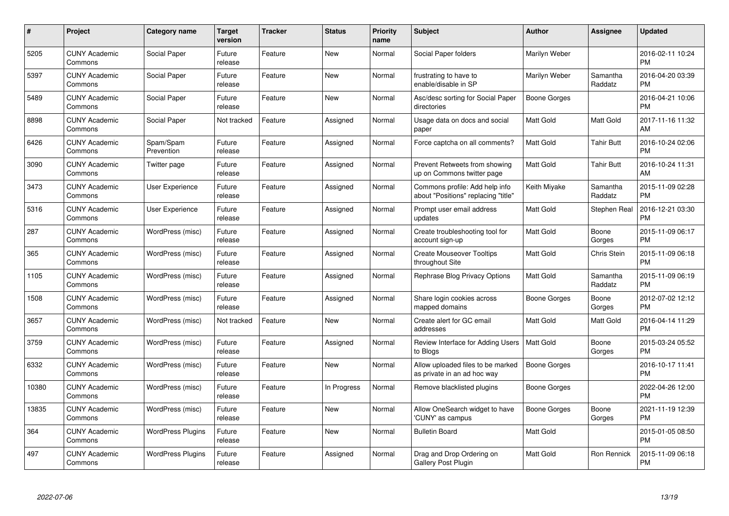| $\#$  | Project                         | <b>Category name</b>     | <b>Target</b><br>version | <b>Tracker</b> | <b>Status</b> | <b>Priority</b><br>name | <b>Subject</b>                                                        | <b>Author</b>       | Assignee            | <b>Updated</b>                |
|-------|---------------------------------|--------------------------|--------------------------|----------------|---------------|-------------------------|-----------------------------------------------------------------------|---------------------|---------------------|-------------------------------|
| 5205  | <b>CUNY Academic</b><br>Commons | Social Paper             | Future<br>release        | Feature        | New           | Normal                  | Social Paper folders                                                  | Marilyn Weber       |                     | 2016-02-11 10:24<br><b>PM</b> |
| 5397  | <b>CUNY Academic</b><br>Commons | Social Paper             | Future<br>release        | Feature        | New           | Normal                  | frustrating to have to<br>enable/disable in SP                        | Marilyn Weber       | Samantha<br>Raddatz | 2016-04-20 03:39<br><b>PM</b> |
| 5489  | <b>CUNY Academic</b><br>Commons | Social Paper             | Future<br>release        | Feature        | <b>New</b>    | Normal                  | Asc/desc sorting for Social Paper<br>directories                      | <b>Boone Gorges</b> |                     | 2016-04-21 10:06<br><b>PM</b> |
| 8898  | <b>CUNY Academic</b><br>Commons | Social Paper             | Not tracked              | Feature        | Assigned      | Normal                  | Usage data on docs and social<br>paper                                | <b>Matt Gold</b>    | Matt Gold           | 2017-11-16 11:32<br>AM        |
| 6426  | <b>CUNY Academic</b><br>Commons | Spam/Spam<br>Prevention  | Future<br>release        | Feature        | Assigned      | Normal                  | Force captcha on all comments?                                        | <b>Matt Gold</b>    | <b>Tahir Butt</b>   | 2016-10-24 02:06<br><b>PM</b> |
| 3090  | <b>CUNY Academic</b><br>Commons | Twitter page             | Future<br>release        | Feature        | Assigned      | Normal                  | Prevent Retweets from showing<br>up on Commons twitter page           | <b>Matt Gold</b>    | <b>Tahir Butt</b>   | 2016-10-24 11:31<br>AM        |
| 3473  | <b>CUNY Academic</b><br>Commons | User Experience          | Future<br>release        | Feature        | Assigned      | Normal                  | Commons profile: Add help info<br>about "Positions" replacing "title" | Keith Miyake        | Samantha<br>Raddatz | 2015-11-09 02:28<br><b>PM</b> |
| 5316  | <b>CUNY Academic</b><br>Commons | <b>User Experience</b>   | Future<br>release        | Feature        | Assigned      | Normal                  | Prompt user email address<br>updates                                  | Matt Gold           | Stephen Real        | 2016-12-21 03:30<br><b>PM</b> |
| 287   | <b>CUNY Academic</b><br>Commons | WordPress (misc)         | Future<br>release        | Feature        | Assigned      | Normal                  | Create troubleshooting tool for<br>account sign-up                    | <b>Matt Gold</b>    | Boone<br>Gorges     | 2015-11-09 06:17<br><b>PM</b> |
| 365   | <b>CUNY Academic</b><br>Commons | WordPress (misc)         | Future<br>release        | Feature        | Assigned      | Normal                  | <b>Create Mouseover Tooltips</b><br>throughout Site                   | Matt Gold           | Chris Stein         | 2015-11-09 06:18<br><b>PM</b> |
| 1105  | <b>CUNY Academic</b><br>Commons | WordPress (misc)         | Future<br>release        | Feature        | Assigned      | Normal                  | Rephrase Blog Privacy Options                                         | Matt Gold           | Samantha<br>Raddatz | 2015-11-09 06:19<br><b>PM</b> |
| 1508  | <b>CUNY Academic</b><br>Commons | WordPress (misc)         | Future<br>release        | Feature        | Assigned      | Normal                  | Share login cookies across<br>mapped domains                          | Boone Gorges        | Boone<br>Gorges     | 2012-07-02 12:12<br><b>PM</b> |
| 3657  | <b>CUNY Academic</b><br>Commons | WordPress (misc)         | Not tracked              | Feature        | New           | Normal                  | Create alert for GC email<br>addresses                                | Matt Gold           | Matt Gold           | 2016-04-14 11:29<br><b>PM</b> |
| 3759  | <b>CUNY Academic</b><br>Commons | WordPress (misc)         | Future<br>release        | Feature        | Assigned      | Normal                  | Review Interface for Adding Users<br>to Blogs                         | Matt Gold           | Boone<br>Gorges     | 2015-03-24 05:52<br><b>PM</b> |
| 6332  | <b>CUNY Academic</b><br>Commons | WordPress (misc)         | Future<br>release        | Feature        | New           | Normal                  | Allow uploaded files to be marked<br>as private in an ad hoc way      | <b>Boone Gorges</b> |                     | 2016-10-17 11:41<br><b>PM</b> |
| 10380 | <b>CUNY Academic</b><br>Commons | WordPress (misc)         | Future<br>release        | Feature        | In Progress   | Normal                  | Remove blacklisted plugins                                            | Boone Gorges        |                     | 2022-04-26 12:00<br><b>PM</b> |
| 13835 | <b>CUNY Academic</b><br>Commons | WordPress (misc)         | Future<br>release        | Feature        | New           | Normal                  | Allow OneSearch widget to have<br>'CUNY' as campus                    | Boone Gorges        | Boone<br>Gorges     | 2021-11-19 12:39<br><b>PM</b> |
| 364   | <b>CUNY Academic</b><br>Commons | <b>WordPress Plugins</b> | Future<br>release        | Feature        | New           | Normal                  | <b>Bulletin Board</b>                                                 | Matt Gold           |                     | 2015-01-05 08:50<br><b>PM</b> |
| 497   | <b>CUNY Academic</b><br>Commons | <b>WordPress Plugins</b> | Future<br>release        | Feature        | Assigned      | Normal                  | Drag and Drop Ordering on<br>Gallery Post Plugin                      | <b>Matt Gold</b>    | Ron Rennick         | 2015-11-09 06:18<br><b>PM</b> |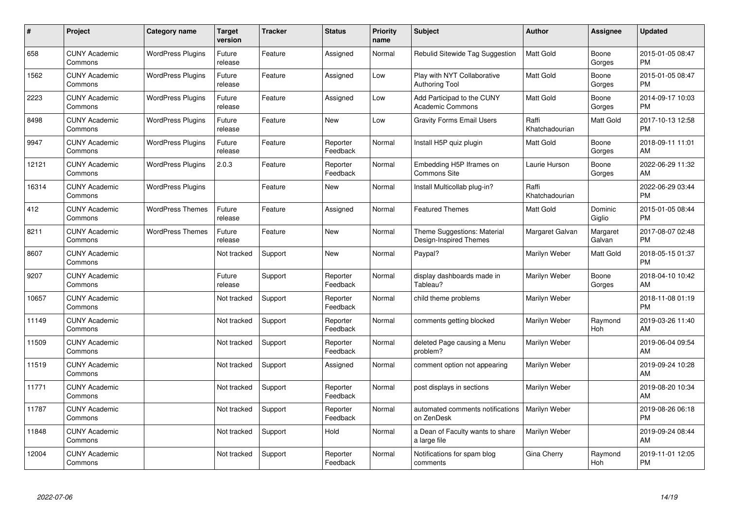| #     | Project                         | <b>Category name</b>     | <b>Target</b><br>version | <b>Tracker</b> | <b>Status</b>        | <b>Priority</b><br>name | <b>Subject</b>                                        | <b>Author</b>           | <b>Assignee</b>    | <b>Updated</b>                |
|-------|---------------------------------|--------------------------|--------------------------|----------------|----------------------|-------------------------|-------------------------------------------------------|-------------------------|--------------------|-------------------------------|
| 658   | <b>CUNY Academic</b><br>Commons | <b>WordPress Plugins</b> | Future<br>release        | Feature        | Assigned             | Normal                  | Rebulid Sitewide Tag Suggestion                       | <b>Matt Gold</b>        | Boone<br>Gorges    | 2015-01-05 08:47<br><b>PM</b> |
| 1562  | <b>CUNY Academic</b><br>Commons | <b>WordPress Plugins</b> | Future<br>release        | Feature        | Assigned             | Low                     | Play with NYT Collaborative<br><b>Authoring Tool</b>  | Matt Gold               | Boone<br>Gorges    | 2015-01-05 08:47<br><b>PM</b> |
| 2223  | <b>CUNY Academic</b><br>Commons | <b>WordPress Plugins</b> | Future<br>release        | Feature        | Assigned             | Low                     | Add Participad to the CUNY<br><b>Academic Commons</b> | <b>Matt Gold</b>        | Boone<br>Gorges    | 2014-09-17 10:03<br><b>PM</b> |
| 8498  | <b>CUNY Academic</b><br>Commons | <b>WordPress Plugins</b> | Future<br>release        | Feature        | <b>New</b>           | Low                     | <b>Gravity Forms Email Users</b>                      | Raffi<br>Khatchadourian | Matt Gold          | 2017-10-13 12:58<br><b>PM</b> |
| 9947  | <b>CUNY Academic</b><br>Commons | <b>WordPress Plugins</b> | Future<br>release        | Feature        | Reporter<br>Feedback | Normal                  | Install H5P quiz plugin                               | Matt Gold               | Boone<br>Gorges    | 2018-09-11 11:01<br>AM        |
| 12121 | <b>CUNY Academic</b><br>Commons | <b>WordPress Plugins</b> | 2.0.3                    | Feature        | Reporter<br>Feedback | Normal                  | Embedding H5P Iframes on<br>Commons Site              | Laurie Hurson           | Boone<br>Gorges    | 2022-06-29 11:32<br>AM.       |
| 16314 | <b>CUNY Academic</b><br>Commons | <b>WordPress Plugins</b> |                          | Feature        | <b>New</b>           | Normal                  | Install Multicollab plug-in?                          | Raffi<br>Khatchadourian |                    | 2022-06-29 03:44<br><b>PM</b> |
| 412   | <b>CUNY Academic</b><br>Commons | <b>WordPress Themes</b>  | Future<br>release        | Feature        | Assigned             | Normal                  | <b>Featured Themes</b>                                | Matt Gold               | Dominic<br>Giglio  | 2015-01-05 08:44<br><b>PM</b> |
| 8211  | <b>CUNY Academic</b><br>Commons | <b>WordPress Themes</b>  | Future<br>release        | Feature        | <b>New</b>           | Normal                  | Theme Suggestions: Material<br>Design-Inspired Themes | Margaret Galvan         | Margaret<br>Galvan | 2017-08-07 02:48<br><b>PM</b> |
| 8607  | <b>CUNY Academic</b><br>Commons |                          | Not tracked              | Support        | New                  | Normal                  | Paypal?                                               | Marilyn Weber           | Matt Gold          | 2018-05-15 01:37<br>PM        |
| 9207  | <b>CUNY Academic</b><br>Commons |                          | Future<br>release        | Support        | Reporter<br>Feedback | Normal                  | display dashboards made in<br>Tableau?                | Marilyn Weber           | Boone<br>Gorges    | 2018-04-10 10:42<br>AM        |
| 10657 | <b>CUNY Academic</b><br>Commons |                          | Not tracked              | Support        | Reporter<br>Feedback | Normal                  | child theme problems                                  | Marilyn Weber           |                    | 2018-11-08 01:19<br><b>PM</b> |
| 11149 | <b>CUNY Academic</b><br>Commons |                          | Not tracked              | Support        | Reporter<br>Feedback | Normal                  | comments getting blocked                              | Marilyn Weber           | Raymond<br>Hoh     | 2019-03-26 11:40<br>AM.       |
| 11509 | <b>CUNY Academic</b><br>Commons |                          | Not tracked              | Support        | Reporter<br>Feedback | Normal                  | deleted Page causing a Menu<br>problem?               | Marilyn Weber           |                    | 2019-06-04 09:54<br>AM        |
| 11519 | <b>CUNY Academic</b><br>Commons |                          | Not tracked              | Support        | Assigned             | Normal                  | comment option not appearing                          | Marilyn Weber           |                    | 2019-09-24 10:28<br><b>AM</b> |
| 11771 | <b>CUNY Academic</b><br>Commons |                          | Not tracked              | Support        | Reporter<br>Feedback | Normal                  | post displays in sections                             | Marilyn Weber           |                    | 2019-08-20 10:34<br>AM        |
| 11787 | <b>CUNY Academic</b><br>Commons |                          | Not tracked              | Support        | Reporter<br>Feedback | Normal                  | automated comments notifications<br>on ZenDesk        | Marilyn Weber           |                    | 2019-08-26 06:18<br><b>PM</b> |
| 11848 | <b>CUNY Academic</b><br>Commons |                          | Not tracked              | Support        | Hold                 | Normal                  | a Dean of Faculty wants to share<br>a large file      | Marilyn Weber           |                    | 2019-09-24 08:44<br>AM        |
| 12004 | <b>CUNY Academic</b><br>Commons |                          | Not tracked              | Support        | Reporter<br>Feedback | Normal                  | Notifications for spam blog<br>comments               | Gina Cherry             | Raymond<br>Hoh     | 2019-11-01 12:05<br>PM        |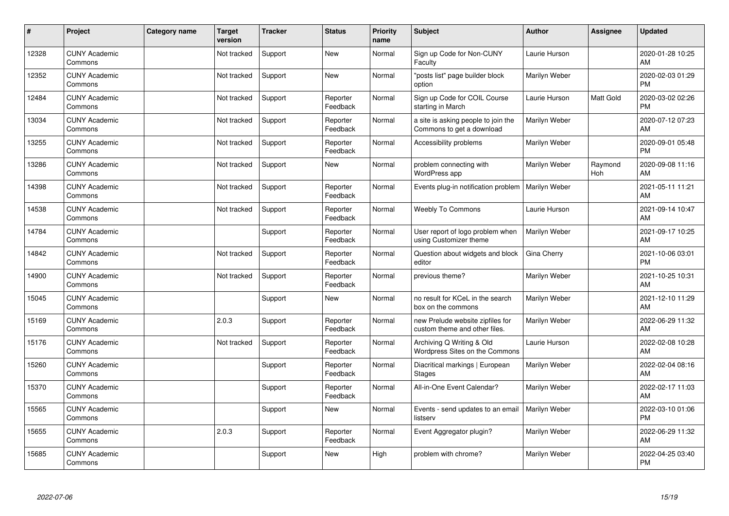| #     | Project                         | <b>Category name</b> | <b>Target</b><br>version | <b>Tracker</b> | <b>Status</b>        | Priority<br>name | <b>Subject</b>                                                    | <b>Author</b> | <b>Assignee</b> | <b>Updated</b>                |
|-------|---------------------------------|----------------------|--------------------------|----------------|----------------------|------------------|-------------------------------------------------------------------|---------------|-----------------|-------------------------------|
| 12328 | <b>CUNY Academic</b><br>Commons |                      | Not tracked              | Support        | <b>New</b>           | Normal           | Sign up Code for Non-CUNY<br>Faculty                              | Laurie Hurson |                 | 2020-01-28 10:25<br>AM        |
| 12352 | <b>CUNY Academic</b><br>Commons |                      | Not tracked              | Support        | <b>New</b>           | Normal           | "posts list" page builder block<br>option                         | Marilyn Weber |                 | 2020-02-03 01:29<br><b>PM</b> |
| 12484 | <b>CUNY Academic</b><br>Commons |                      | Not tracked              | Support        | Reporter<br>Feedback | Normal           | Sign up Code for COIL Course<br>starting in March                 | Laurie Hurson | Matt Gold       | 2020-03-02 02:26<br><b>PM</b> |
| 13034 | <b>CUNY Academic</b><br>Commons |                      | Not tracked              | Support        | Reporter<br>Feedback | Normal           | a site is asking people to join the<br>Commons to get a download  | Marilyn Weber |                 | 2020-07-12 07:23<br>AM        |
| 13255 | <b>CUNY Academic</b><br>Commons |                      | Not tracked              | Support        | Reporter<br>Feedback | Normal           | Accessibility problems                                            | Marilyn Weber |                 | 2020-09-01 05:48<br><b>PM</b> |
| 13286 | <b>CUNY Academic</b><br>Commons |                      | Not tracked              | Support        | <b>New</b>           | Normal           | problem connecting with<br>WordPress app                          | Marilyn Weber | Raymond<br>Hoh  | 2020-09-08 11:16<br>AM        |
| 14398 | <b>CUNY Academic</b><br>Commons |                      | Not tracked              | Support        | Reporter<br>Feedback | Normal           | Events plug-in notification problem                               | Marilyn Weber |                 | 2021-05-11 11:21<br>AM        |
| 14538 | <b>CUNY Academic</b><br>Commons |                      | Not tracked              | Support        | Reporter<br>Feedback | Normal           | Weebly To Commons                                                 | Laurie Hurson |                 | 2021-09-14 10:47<br>AM        |
| 14784 | <b>CUNY Academic</b><br>Commons |                      |                          | Support        | Reporter<br>Feedback | Normal           | User report of logo problem when<br>using Customizer theme        | Marilyn Weber |                 | 2021-09-17 10:25<br>AM        |
| 14842 | <b>CUNY Academic</b><br>Commons |                      | Not tracked              | Support        | Reporter<br>Feedback | Normal           | Question about widgets and block<br>editor                        | Gina Cherry   |                 | 2021-10-06 03:01<br><b>PM</b> |
| 14900 | <b>CUNY Academic</b><br>Commons |                      | Not tracked              | Support        | Reporter<br>Feedback | Normal           | previous theme?                                                   | Marilyn Weber |                 | 2021-10-25 10:31<br>AM        |
| 15045 | <b>CUNY Academic</b><br>Commons |                      |                          | Support        | <b>New</b>           | Normal           | no result for KCeL in the search<br>box on the commons            | Marilyn Weber |                 | 2021-12-10 11:29<br>AM        |
| 15169 | <b>CUNY Academic</b><br>Commons |                      | 2.0.3                    | Support        | Reporter<br>Feedback | Normal           | new Prelude website zipfiles for<br>custom theme and other files. | Marilyn Weber |                 | 2022-06-29 11:32<br>AM        |
| 15176 | <b>CUNY Academic</b><br>Commons |                      | Not tracked              | Support        | Reporter<br>Feedback | Normal           | Archiving Q Writing & Old<br>Wordpress Sites on the Commons       | Laurie Hurson |                 | 2022-02-08 10:28<br>AM        |
| 15260 | <b>CUNY Academic</b><br>Commons |                      |                          | Support        | Reporter<br>Feedback | Normal           | Diacritical markings   European<br><b>Stages</b>                  | Marilyn Weber |                 | 2022-02-04 08:16<br>AM        |
| 15370 | <b>CUNY Academic</b><br>Commons |                      |                          | Support        | Reporter<br>Feedback | Normal           | All-in-One Event Calendar?                                        | Marilyn Weber |                 | 2022-02-17 11:03<br>AM        |
| 15565 | <b>CUNY Academic</b><br>Commons |                      |                          | Support        | New                  | Normal           | Events - send updates to an email<br>listserv                     | Marilyn Weber |                 | 2022-03-10 01:06<br><b>PM</b> |
| 15655 | <b>CUNY Academic</b><br>Commons |                      | 2.0.3                    | Support        | Reporter<br>Feedback | Normal           | Event Aggregator plugin?                                          | Marilyn Weber |                 | 2022-06-29 11:32<br>AM        |
| 15685 | <b>CUNY Academic</b><br>Commons |                      |                          | Support        | <b>New</b>           | High             | problem with chrome?                                              | Marilyn Weber |                 | 2022-04-25 03:40<br><b>PM</b> |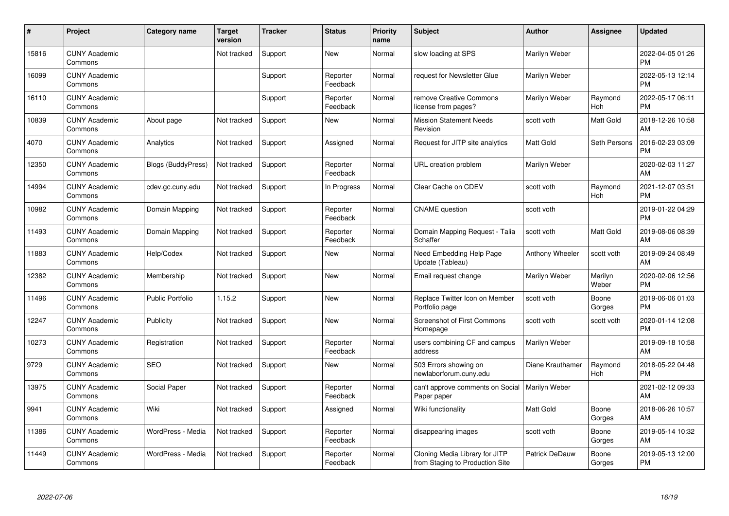| #     | Project                         | <b>Category name</b>      | <b>Target</b><br>version | <b>Tracker</b> | <b>Status</b>        | <b>Priority</b><br>name | <b>Subject</b>                                                    | <b>Author</b>    | <b>Assignee</b>  | <b>Updated</b>                |
|-------|---------------------------------|---------------------------|--------------------------|----------------|----------------------|-------------------------|-------------------------------------------------------------------|------------------|------------------|-------------------------------|
| 15816 | <b>CUNY Academic</b><br>Commons |                           | Not tracked              | Support        | <b>New</b>           | Normal                  | slow loading at SPS                                               | Marilyn Weber    |                  | 2022-04-05 01:26<br><b>PM</b> |
| 16099 | <b>CUNY Academic</b><br>Commons |                           |                          | Support        | Reporter<br>Feedback | Normal                  | request for Newsletter Glue                                       | Marilyn Weber    |                  | 2022-05-13 12:14<br><b>PM</b> |
| 16110 | <b>CUNY Academic</b><br>Commons |                           |                          | Support        | Reporter<br>Feedback | Normal                  | remove Creative Commons<br>license from pages?                    | Marilyn Weber    | Raymond<br>Hoh   | 2022-05-17 06:11<br><b>PM</b> |
| 10839 | <b>CUNY Academic</b><br>Commons | About page                | Not tracked              | Support        | <b>New</b>           | Normal                  | <b>Mission Statement Needs</b><br>Revision                        | scott voth       | Matt Gold        | 2018-12-26 10:58<br>AM        |
| 4070  | <b>CUNY Academic</b><br>Commons | Analytics                 | Not tracked              | Support        | Assigned             | Normal                  | Request for JITP site analytics                                   | <b>Matt Gold</b> | Seth Persons     | 2016-02-23 03:09<br><b>PM</b> |
| 12350 | <b>CUNY Academic</b><br>Commons | <b>Blogs (BuddyPress)</b> | Not tracked              | Support        | Reporter<br>Feedback | Normal                  | URL creation problem                                              | Marilyn Weber    |                  | 2020-02-03 11:27<br>AM        |
| 14994 | <b>CUNY Academic</b><br>Commons | cdev.gc.cuny.edu          | Not tracked              | Support        | In Progress          | Normal                  | Clear Cache on CDEV                                               | scott voth       | Raymond<br>Hoh   | 2021-12-07 03:51<br><b>PM</b> |
| 10982 | <b>CUNY Academic</b><br>Commons | Domain Mapping            | Not tracked              | Support        | Reporter<br>Feedback | Normal                  | <b>CNAME</b> question                                             | scott voth       |                  | 2019-01-22 04:29<br><b>PM</b> |
| 11493 | <b>CUNY Academic</b><br>Commons | Domain Mapping            | Not tracked              | Support        | Reporter<br>Feedback | Normal                  | Domain Mapping Request - Talia<br>Schaffer                        | scott voth       | Matt Gold        | 2019-08-06 08:39<br>AM        |
| 11883 | <b>CUNY Academic</b><br>Commons | Help/Codex                | Not tracked              | Support        | New                  | Normal                  | Need Embedding Help Page<br>Update (Tableau)                      | Anthony Wheeler  | scott voth       | 2019-09-24 08:49<br>AM        |
| 12382 | <b>CUNY Academic</b><br>Commons | Membership                | Not tracked              | Support        | <b>New</b>           | Normal                  | Email request change                                              | Marilyn Weber    | Marilyn<br>Weber | 2020-02-06 12:56<br><b>PM</b> |
| 11496 | <b>CUNY Academic</b><br>Commons | <b>Public Portfolio</b>   | 1.15.2                   | Support        | New                  | Normal                  | Replace Twitter Icon on Member<br>Portfolio page                  | scott voth       | Boone<br>Gorges  | 2019-06-06 01:03<br><b>PM</b> |
| 12247 | <b>CUNY Academic</b><br>Commons | Publicity                 | Not tracked              | Support        | <b>New</b>           | Normal                  | <b>Screenshot of First Commons</b><br>Homepage                    | scott voth       | scott voth       | 2020-01-14 12:08<br><b>PM</b> |
| 10273 | <b>CUNY Academic</b><br>Commons | Registration              | Not tracked              | Support        | Reporter<br>Feedback | Normal                  | users combining CF and campus<br>address                          | Marilyn Weber    |                  | 2019-09-18 10:58<br>AM        |
| 9729  | <b>CUNY Academic</b><br>Commons | <b>SEO</b>                | Not tracked              | Support        | New                  | Normal                  | 503 Errors showing on<br>newlaborforum.cuny.edu                   | Diane Krauthamer | Raymond<br>Hoh   | 2018-05-22 04:48<br><b>PM</b> |
| 13975 | <b>CUNY Academic</b><br>Commons | Social Paper              | Not tracked              | Support        | Reporter<br>Feedback | Normal                  | can't approve comments on Social<br>Paper paper                   | Marilyn Weber    |                  | 2021-02-12 09:33<br>AM        |
| 9941  | <b>CUNY Academic</b><br>Commons | Wiki                      | Not tracked              | Support        | Assigned             | Normal                  | Wiki functionality                                                | <b>Matt Gold</b> | Boone<br>Gorges  | 2018-06-26 10:57<br>AM        |
| 11386 | <b>CUNY Academic</b><br>Commons | WordPress - Media         | Not tracked              | Support        | Reporter<br>Feedback | Normal                  | disappearing images                                               | scott voth       | Boone<br>Gorges  | 2019-05-14 10:32<br>AM        |
| 11449 | <b>CUNY Academic</b><br>Commons | WordPress - Media         | Not tracked              | Support        | Reporter<br>Feedback | Normal                  | Cloning Media Library for JITP<br>from Staging to Production Site | Patrick DeDauw   | Boone<br>Gorges  | 2019-05-13 12:00<br><b>PM</b> |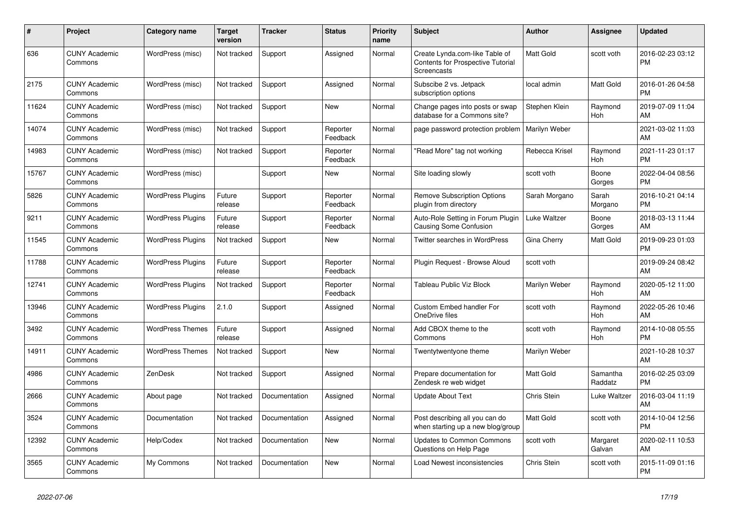| #     | <b>Project</b>                  | Category name            | <b>Target</b><br>version | <b>Tracker</b> | <b>Status</b>        | <b>Priority</b><br>name | <b>Subject</b>                                                                            | <b>Author</b>    | Assignee            | <b>Updated</b>                |
|-------|---------------------------------|--------------------------|--------------------------|----------------|----------------------|-------------------------|-------------------------------------------------------------------------------------------|------------------|---------------------|-------------------------------|
| 636   | <b>CUNY Academic</b><br>Commons | WordPress (misc)         | Not tracked              | Support        | Assigned             | Normal                  | Create Lynda.com-like Table of<br><b>Contents for Prospective Tutorial</b><br>Screencasts | <b>Matt Gold</b> | scott voth          | 2016-02-23 03:12<br><b>PM</b> |
| 2175  | <b>CUNY Academic</b><br>Commons | WordPress (misc)         | Not tracked              | Support        | Assigned             | Normal                  | Subscibe 2 vs. Jetpack<br>subscription options                                            | local admin      | Matt Gold           | 2016-01-26 04:58<br><b>PM</b> |
| 11624 | <b>CUNY Academic</b><br>Commons | WordPress (misc)         | Not tracked              | Support        | New                  | Normal                  | Change pages into posts or swap<br>database for a Commons site?                           | Stephen Klein    | Raymond<br>Hoh      | 2019-07-09 11:04<br>AM        |
| 14074 | <b>CUNY Academic</b><br>Commons | WordPress (misc)         | Not tracked              | Support        | Reporter<br>Feedback | Normal                  | page password protection problem                                                          | Marilyn Weber    |                     | 2021-03-02 11:03<br>AM        |
| 14983 | <b>CUNY Academic</b><br>Commons | WordPress (misc)         | Not tracked              | Support        | Reporter<br>Feedback | Normal                  | "Read More" tag not working                                                               | Rebecca Krisel   | Raymond<br>Hoh      | 2021-11-23 01:17<br><b>PM</b> |
| 15767 | <b>CUNY Academic</b><br>Commons | WordPress (misc)         |                          | Support        | <b>New</b>           | Normal                  | Site loading slowly                                                                       | scott voth       | Boone<br>Gorges     | 2022-04-04 08:56<br><b>PM</b> |
| 5826  | <b>CUNY Academic</b><br>Commons | <b>WordPress Plugins</b> | Future<br>release        | Support        | Reporter<br>Feedback | Normal                  | <b>Remove Subscription Options</b><br>plugin from directory                               | Sarah Morgano    | Sarah<br>Morgano    | 2016-10-21 04:14<br><b>PM</b> |
| 9211  | <b>CUNY Academic</b><br>Commons | <b>WordPress Plugins</b> | Future<br>release        | Support        | Reporter<br>Feedback | Normal                  | Auto-Role Setting in Forum Plugin<br>Causing Some Confusion                               | Luke Waltzer     | Boone<br>Gorges     | 2018-03-13 11:44<br>AM        |
| 11545 | <b>CUNY Academic</b><br>Commons | <b>WordPress Plugins</b> | Not tracked              | Support        | New                  | Normal                  | <b>Twitter searches in WordPress</b>                                                      | Gina Cherry      | Matt Gold           | 2019-09-23 01:03<br><b>PM</b> |
| 11788 | <b>CUNY Academic</b><br>Commons | <b>WordPress Plugins</b> | Future<br>release        | Support        | Reporter<br>Feedback | Normal                  | Plugin Request - Browse Aloud                                                             | scott voth       |                     | 2019-09-24 08:42<br>AM        |
| 12741 | <b>CUNY Academic</b><br>Commons | <b>WordPress Plugins</b> | Not tracked              | Support        | Reporter<br>Feedback | Normal                  | <b>Tableau Public Viz Block</b>                                                           | Marilyn Weber    | Raymond<br>Hoh      | 2020-05-12 11:00<br>AM        |
| 13946 | <b>CUNY Academic</b><br>Commons | <b>WordPress Plugins</b> | 2.1.0                    | Support        | Assigned             | Normal                  | <b>Custom Embed handler For</b><br>OneDrive files                                         | scott voth       | Raymond<br>Hoh      | 2022-05-26 10:46<br>AM        |
| 3492  | <b>CUNY Academic</b><br>Commons | <b>WordPress Themes</b>  | Future<br>release        | Support        | Assigned             | Normal                  | Add CBOX theme to the<br>Commons                                                          | scott voth       | Raymond<br>Hoh      | 2014-10-08 05:55<br><b>PM</b> |
| 14911 | <b>CUNY Academic</b><br>Commons | <b>WordPress Themes</b>  | Not tracked              | Support        | New                  | Normal                  | Twentytwentyone theme                                                                     | Marilyn Weber    |                     | 2021-10-28 10:37<br>AM        |
| 4986  | <b>CUNY Academic</b><br>Commons | ZenDesk                  | Not tracked              | Support        | Assigned             | Normal                  | Prepare documentation for<br>Zendesk re web widget                                        | Matt Gold        | Samantha<br>Raddatz | 2016-02-25 03:09<br><b>PM</b> |
| 2666  | <b>CUNY Academic</b><br>Commons | About page               | Not tracked              | Documentation  | Assigned             | Normal                  | <b>Update About Text</b>                                                                  | Chris Stein      | Luke Waltzer        | 2016-03-04 11:19<br>AM        |
| 3524  | <b>CUNY Academic</b><br>Commons | Documentation            | Not tracked              | Documentation  | Assigned             | Normal                  | Post describing all you can do<br>when starting up a new blog/group                       | Matt Gold        | scott voth          | 2014-10-04 12:56<br><b>PM</b> |
| 12392 | <b>CUNY Academic</b><br>Commons | Help/Codex               | Not tracked              | Documentation  | New                  | Normal                  | <b>Updates to Common Commons</b><br>Questions on Help Page                                | scott voth       | Margaret<br>Galvan  | 2020-02-11 10:53<br>AM        |
| 3565  | <b>CUNY Academic</b><br>Commons | My Commons               | Not tracked              | Documentation  | New                  | Normal                  | <b>Load Newest inconsistencies</b>                                                        | Chris Stein      | scott voth          | 2015-11-09 01:16<br><b>PM</b> |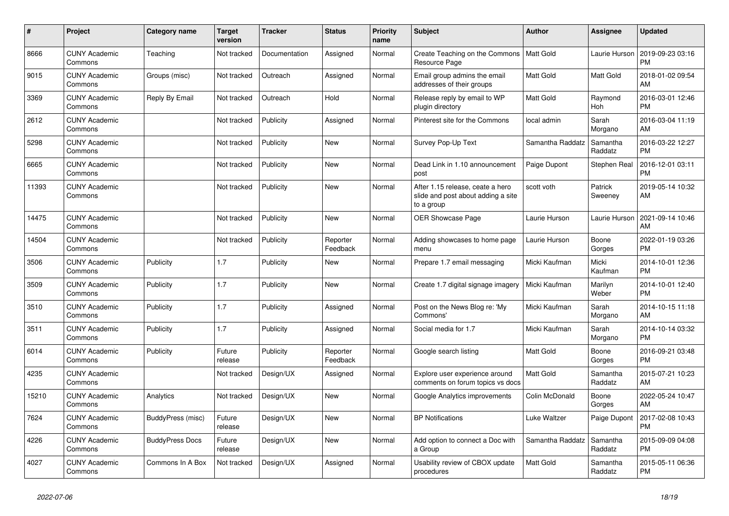| #     | <b>Project</b>                  | <b>Category name</b>   | <b>Target</b><br>version | <b>Tracker</b> | <b>Status</b>        | <b>Priority</b><br>name | <b>Subject</b>                                                                       | <b>Author</b>    | Assignee            | <b>Updated</b>                |
|-------|---------------------------------|------------------------|--------------------------|----------------|----------------------|-------------------------|--------------------------------------------------------------------------------------|------------------|---------------------|-------------------------------|
| 8666  | <b>CUNY Academic</b><br>Commons | Teaching               | Not tracked              | Documentation  | Assigned             | Normal                  | Create Teaching on the Commons<br>Resource Page                                      | Matt Gold        | Laurie Hurson       | 2019-09-23 03:16<br><b>PM</b> |
| 9015  | <b>CUNY Academic</b><br>Commons | Groups (misc)          | Not tracked              | Outreach       | Assigned             | Normal                  | Email group admins the email<br>addresses of their groups                            | <b>Matt Gold</b> | Matt Gold           | 2018-01-02 09:54<br>AM        |
| 3369  | <b>CUNY Academic</b><br>Commons | Reply By Email         | Not tracked              | Outreach       | Hold                 | Normal                  | Release reply by email to WP<br>plugin directory                                     | Matt Gold        | Raymond<br>Hoh      | 2016-03-01 12:46<br><b>PM</b> |
| 2612  | <b>CUNY Academic</b><br>Commons |                        | Not tracked              | Publicity      | Assigned             | Normal                  | Pinterest site for the Commons                                                       | local admin      | Sarah<br>Morgano    | 2016-03-04 11:19<br>AM        |
| 5298  | <b>CUNY Academic</b><br>Commons |                        | Not tracked              | Publicity      | New                  | Normal                  | Survey Pop-Up Text                                                                   | Samantha Raddatz | Samantha<br>Raddatz | 2016-03-22 12:27<br><b>PM</b> |
| 6665  | <b>CUNY Academic</b><br>Commons |                        | Not tracked              | Publicity      | New                  | Normal                  | Dead Link in 1.10 announcement<br>post                                               | Paige Dupont     | Stephen Real        | 2016-12-01 03:11<br><b>PM</b> |
| 11393 | <b>CUNY Academic</b><br>Commons |                        | Not tracked              | Publicity      | <b>New</b>           | Normal                  | After 1.15 release, ceate a hero<br>slide and post about adding a site<br>to a group | scott voth       | Patrick<br>Sweeney  | 2019-05-14 10:32<br>AM        |
| 14475 | <b>CUNY Academic</b><br>Commons |                        | Not tracked              | Publicity      | <b>New</b>           | Normal                  | <b>OER Showcase Page</b>                                                             | Laurie Hurson    | Laurie Hurson       | 2021-09-14 10:46<br>AM        |
| 14504 | <b>CUNY Academic</b><br>Commons |                        | Not tracked              | Publicity      | Reporter<br>Feedback | Normal                  | Adding showcases to home page<br>menu                                                | Laurie Hurson    | Boone<br>Gorges     | 2022-01-19 03:26<br><b>PM</b> |
| 3506  | <b>CUNY Academic</b><br>Commons | Publicity              | 1.7                      | Publicity      | New                  | Normal                  | Prepare 1.7 email messaging                                                          | Micki Kaufman    | Micki<br>Kaufman    | 2014-10-01 12:36<br><b>PM</b> |
| 3509  | <b>CUNY Academic</b><br>Commons | Publicity              | 1.7                      | Publicity      | New                  | Normal                  | Create 1.7 digital signage imagery                                                   | Micki Kaufman    | Marilyn<br>Weber    | 2014-10-01 12:40<br><b>PM</b> |
| 3510  | <b>CUNY Academic</b><br>Commons | Publicity              | 1.7                      | Publicity      | Assigned             | Normal                  | Post on the News Blog re: 'My<br>Commons'                                            | Micki Kaufman    | Sarah<br>Morgano    | 2014-10-15 11:18<br>AM        |
| 3511  | <b>CUNY Academic</b><br>Commons | Publicity              | 1.7                      | Publicity      | Assigned             | Normal                  | Social media for 1.7                                                                 | Micki Kaufman    | Sarah<br>Morgano    | 2014-10-14 03:32<br><b>PM</b> |
| 6014  | <b>CUNY Academic</b><br>Commons | Publicity              | Future<br>release        | Publicity      | Reporter<br>Feedback | Normal                  | Google search listing                                                                | <b>Matt Gold</b> | Boone<br>Gorges     | 2016-09-21 03:48<br><b>PM</b> |
| 4235  | <b>CUNY Academic</b><br>Commons |                        | Not tracked              | Design/UX      | Assigned             | Normal                  | Explore user experience around<br>comments on forum topics vs docs                   | <b>Matt Gold</b> | Samantha<br>Raddatz | 2015-07-21 10:23<br>AM        |
| 15210 | <b>CUNY Academic</b><br>Commons | Analytics              | Not tracked              | Design/UX      | New                  | Normal                  | Google Analytics improvements                                                        | Colin McDonald   | Boone<br>Gorges     | 2022-05-24 10:47<br>AM        |
| 7624  | <b>CUNY Academic</b><br>Commons | BuddyPress (misc)      | Future<br>release        | Design/UX      | <b>New</b>           | Normal                  | <b>BP Notifications</b>                                                              | Luke Waltzer     | Paige Dupont        | 2017-02-08 10:43<br><b>PM</b> |
| 4226  | <b>CUNY Academic</b><br>Commons | <b>BuddyPress Docs</b> | Future<br>release        | Design/UX      | <b>New</b>           | Normal                  | Add option to connect a Doc with<br>a Group                                          | Samantha Raddatz | Samantha<br>Raddatz | 2015-09-09 04:08<br><b>PM</b> |
| 4027  | <b>CUNY Academic</b><br>Commons | Commons In A Box       | Not tracked              | Design/UX      | Assigned             | Normal                  | Usability review of CBOX update<br>procedures                                        | <b>Matt Gold</b> | Samantha<br>Raddatz | 2015-05-11 06:36<br><b>PM</b> |